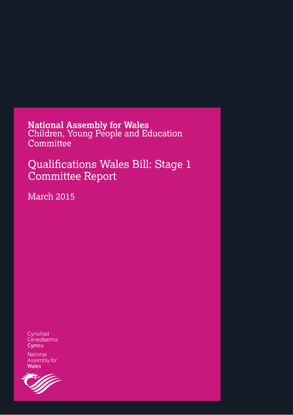**National Assembly for Wales<br>Children, Young People and Education** Committee

Qualifications Wales Bill: Stage 1 **Committee Report** 

**March 2015** 

Cynulliad Cenedlaethol Cymru

National Assembly for **Wales** 

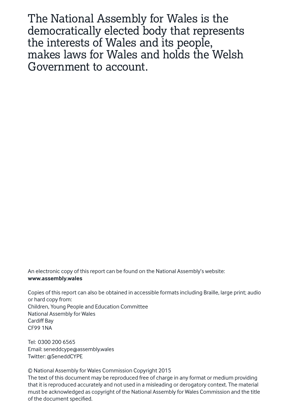The National Assembly for Wales is the democratically elected body that represents the interests of Wales and its people, makes laws for Wales and holds the Welsh Government to account.

An electronic copy of this report can be found on the National Assembly's website: www.assembly.wales

Copies of this report can also be obtained in accessible formats including Braille, large print; audio or hard copy from: Children, Young People and Education Committee **National Assembly for Wales Cardiff Bay CF991NA** 

Tel: 0300 200 6565 Email: seneddcype@assembly.wales Twitter: @SeneddCYPE

© National Assembly for Wales Commission Copyright 2015

The text of this document may be reproduced free of charge in any format or medium providing that it is reproduced accurately and not used in a misleading or derogatory context. The material must be acknowledged as copyright of the National Assembly for Wales Commission and the title of the document specified.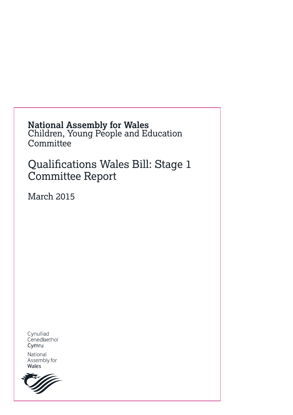# **National Assembly for Wales<br>Children, Young People and Education** Committee

Qualifications Wales Bill: Stage 1 **Committee Report** 

**March 2015** 

Cynulliad Cenedlaethol Cymru

National Assembly for Wales

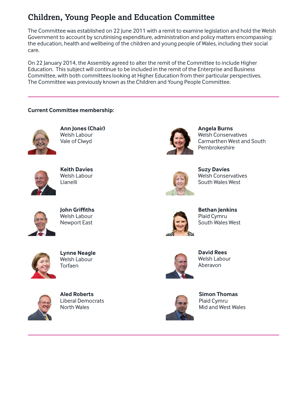### **Children, Young People and Education Committee**

The Committee was established on 22 June 2011 with a remit to examine legislation and hold the Welsh Government to account by scrutinising expenditure, administration and policy matters encompassing: the education, health and wellbeing of the children and young people of Wales, including their social care.

On 22 January 2014, the Assembly agreed to alter the remit of the Committee to include Higher Education. This subject will continue to be included in the remit of the Enterprise and Business Committee, with both committees looking at Higher Education from their particular perspectives. The Committee was previously known as the Children and Young People Committee.

#### **Current Committee membership:**



**Ann Jones (Chair)** Welsh Labour Vale of Clwyd



**Keith Davies Welsh Labour** Llanelli



**John Griffiths** Welsh Labour **Newport East** 



**Lynne Neagle Welsh Labour** Torfaen



**Aled Roberts Liberal Democrats North Wales** 



**Angela Burns Welsh Conservatives** Carmarthen West and South Pembrokeshire



**Suzy Davies Welsh Conservatives** South Wales West



**Bethan Jenkins** Plaid Cymru South Wales West



**David Rees** Welsh Labour Aberavon



**Simon Thomas** Plaid Cymru Mid and West Wales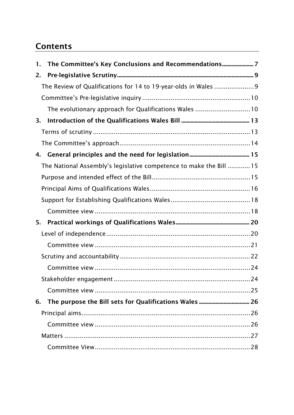### **Contents**

| 1.                                                                 |  |
|--------------------------------------------------------------------|--|
| 2.                                                                 |  |
| The Review of Qualifications for 14 to 19-year-olds in Wales 9     |  |
|                                                                    |  |
| The evolutionary approach for Qualifications Wales 10              |  |
| 3.                                                                 |  |
|                                                                    |  |
|                                                                    |  |
| 4.                                                                 |  |
| The National Assembly's legislative competence to make the Bill 15 |  |
|                                                                    |  |
|                                                                    |  |
|                                                                    |  |
|                                                                    |  |
| 5.                                                                 |  |
|                                                                    |  |
|                                                                    |  |
|                                                                    |  |
|                                                                    |  |
|                                                                    |  |
|                                                                    |  |
| 6.                                                                 |  |
|                                                                    |  |
|                                                                    |  |
|                                                                    |  |
|                                                                    |  |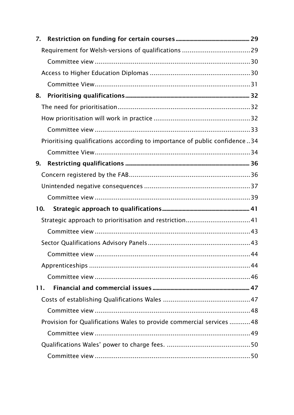| 7.  |                                                                            |    |
|-----|----------------------------------------------------------------------------|----|
|     |                                                                            |    |
|     |                                                                            |    |
|     |                                                                            |    |
|     |                                                                            |    |
| 8.  |                                                                            |    |
|     |                                                                            |    |
|     |                                                                            |    |
|     |                                                                            |    |
|     | Prioritising qualifications according to importance of public confidence34 |    |
|     |                                                                            |    |
| 9.  |                                                                            |    |
|     |                                                                            |    |
|     |                                                                            |    |
|     |                                                                            |    |
| 10. |                                                                            |    |
|     |                                                                            |    |
|     |                                                                            |    |
|     |                                                                            |    |
|     | Committee view                                                             | 44 |
|     |                                                                            |    |
|     |                                                                            |    |
| 11. |                                                                            |    |
|     |                                                                            |    |
|     |                                                                            |    |
|     | Provision for Qualifications Wales to provide commercial services 48       |    |
|     |                                                                            |    |
|     |                                                                            |    |
|     |                                                                            |    |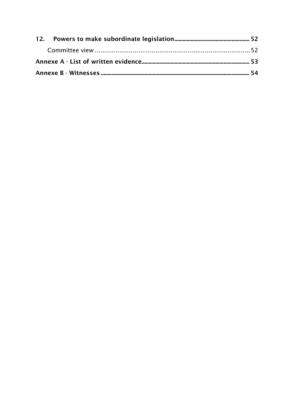<span id="page-6-0"></span>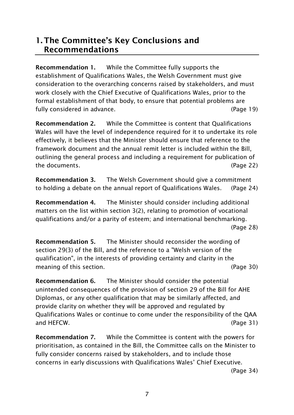### **1. The Committee's Key Conclusions and Recommendations**

**Recommendation 1.** While the Committee fully supports the establishment of Qualifications Wales, the Welsh Government must give consideration to the overarching concerns raised by stakeholders, and must work closely with the Chief Executive of Qualifications Wales, prior to the formal establishment of that body, to ensure that potential problems are fully considered in advance. (Page 19)

**Recommendation 2.** While the Committee is content that Qualifications Wales will have the level of independence required for it to undertake its role effectively, it believes that the Minister should ensure that reference to the framework document and the annual remit letter is included within the Bill, outlining the general process and including a requirement for publication of the documents. (Page 22)

**Recommendation 3.** The Welsh Government should give a commitment to holding a debate on the annual report of Qualifications Wales. (Page 24)

**Recommendation 4.** The Minister should consider including additional matters on the list within section 3(2), relating to promotion of vocational qualifications and/or a parity of esteem; and international benchmarking. (Page 28)

**Recommendation 5.** The Minister should reconsider the wording of section 29(3) of the Bill, and the reference to a "Welsh version of the qualification", in the interests of providing certainty and clarity in the meaning of this section. The contract of the section of the section of the section of the section of  $(Paqe 30)$ 

**Recommendation 6.** The Minister should consider the potential unintended consequences of the provision of section 29 of the Bill for AHE Diplomas, or any other qualification that may be similarly affected, and provide clarity on whether they will be approved and regulated by Qualifications Wales or continue to come under the responsibility of the QAA and HEFCW. (Page 31)

**Recommendation 7.** While the Committee is content with the powers for prioritisation, as contained in the Bill, the Committee calls on the Minister to fully consider concerns raised by stakeholders, and to include those concerns in early discussions with Qualifications Wales' Chief Executive.

(Page 34)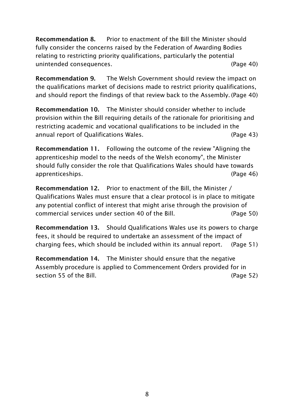**Recommendation 8.** Prior to enactment of the Bill the Minister should fully consider the concerns raised by the Federation of Awarding Bodies relating to restricting priority qualifications, particularly the potential unintended consequences. (Page 40)

**Recommendation 9.** The Welsh Government should review the impact on the qualifications market of decisions made to restrict priority qualifications, and should report the findings of that review back to the Assembly. (Page 40)

**Recommendation 10.** The Minister should consider whether to include provision within the Bill requiring details of the rationale for prioritising and restricting academic and vocational qualifications to be included in the annual report of Qualifications Wales. (Page 43)

**Recommendation 11.** Following the outcome of the review "Aligning the apprenticeship model to the needs of the Welsh economy", the Minister should fully consider the role that Qualifications Wales should have towards apprenticeships. (Page 46)

**Recommendation 12.** Prior to enactment of the Bill, the Minister / Qualifications Wales must ensure that a clear protocol is in place to mitigate any potential conflict of interest that might arise through the provision of commercial services under section 40 of the Bill. (Page 50)

**Recommendation 13.** Should Qualifications Wales use its powers to charge fees, it should be required to undertake an assessment of the impact of charging fees, which should be included within its annual report. (Page 51)

<span id="page-9-0"></span>**Recommendation 14.** The Minister should ensure that the negative Assembly procedure is applied to Commencement Orders provided for in section 55 of the Bill. (Page 52)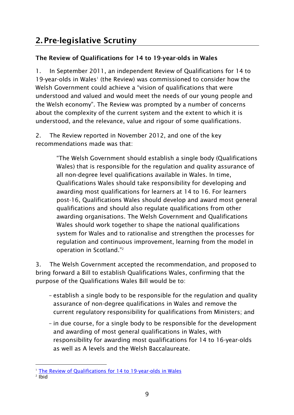#### <span id="page-10-0"></span>**The Review of Qualifications for 14 to 19-year-olds in Wales**

1. In September 2011, an independent Review of Qualifications for 14 to 19-year-olds in Wales<sup>1</sup> (the Review) was commissioned to consider how the Welsh Government could achieve a "vision of qualifications that were understood and valued and would meet the needs of our young people and the Welsh economy". The Review was prompted by a number of concerns about the complexity of the current system and the extent to which it is understood, and the relevance, value and rigour of some qualifications.

2. The Review reported in November 2012, and one of the key recommendations made was that:

> "The Welsh Government should establish a single body (Qualifications Wales) that is responsible for the regulation and quality assurance of all non-degree level qualifications available in Wales. In time, Qualifications Wales should take responsibility for developing and awarding most qualifications for learners at 14 to 16. For learners post-16, Qualifications Wales should develop and award most general qualifications and should also regulate qualifications from other awarding organisations. The Welsh Government and Qualifications Wales should work together to shape the national qualifications system for Wales and to rationalise and strengthen the processes for regulation and continuous improvement, learning from the model in operation in Scotland." 2

3. The Welsh Government accepted the recommendation, and proposed to bring forward a Bill to establish Qualifications Wales, confirming that the purpose of the Qualifications Wales Bill would be to:

- establish a single body to be responsible for the regulation and quality assurance of non-degree qualifications in Wales and remove the current regulatory responsibility for qualifications from Ministers; and
- in due course, for a single body to be responsible for the development and awarding of most general qualifications in Wales, with responsibility for awarding most qualifications for 14 to 16-year-olds as well as A levels and the Welsh Baccalaureate.

<sup>-</sup><sup>1</sup> [The Review of Qualifications for 14 to 19-year-olds in Wales](http://wales.gov.uk/topics/educationandskills/qualificationsinwales/revofqualen/?lang=en)

<sup>2</sup> Ibid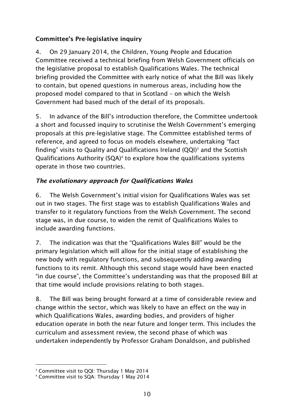#### <span id="page-11-0"></span>**Committee's Pre-legislative inquiry**

4. On 29 January 2014, the Children, Young People and Education Committee received a technical briefing from Welsh Government officials on the legislative proposal to establish Qualifications Wales. The technical briefing provided the Committee with early notice of what the Bill was likely to contain, but opened questions in numerous areas, including how the proposed model compared to that in Scotland – on which the Welsh Government had based much of the detail of its proposals.

5. In advance of the Bill's introduction therefore, the Committee undertook a short and focussed inquiry to scrutinise the Welsh Government's emerging proposals at this pre-legislative stage. The Committee established terms of reference, and agreed to focus on models elsewhere, undertaking "fact finding" visits to Quality and Qualifications Ireland  $(QQI)^3$  and the Scottish Qualifications Authority (SQA)<sup>4</sup> to explore how the qualifications systems operate in those two countries.

#### <span id="page-11-1"></span>*The evolutionary approach for Qualifications Wales*

6. The Welsh Government's initial vision for Qualifications Wales was set out in two stages. The first stage was to establish Qualifications Wales and transfer to it regulatory functions from the Welsh Government. The second stage was, in due course, to widen the remit of Qualifications Wales to include awarding functions.

7. The indication was that the "Qualifications Wales Bill" would be the primary legislation which will allow for the initial stage of establishing the new body with regulatory functions, and subsequently adding awarding functions to its remit. Although this second stage would have been enacted "in due course", the Committee's understanding was that the proposed Bill at that time would include provisions relating to both stages.

8. The Bill was being brought forward at a time of considerable review and change within the sector, which was likely to have an effect on the way in which Qualifications Wales, awarding bodies, and providers of higher education operate in both the near future and longer term. This includes the curriculum and assessment review, the second phase of which was undertaken independently by Professor Graham Donaldson, and published

<sup>-</sup>3 Committee visit to QQI: Thursday 1 May 2014

<sup>4</sup> Committee visit to SQA: Thursday 1 May 2014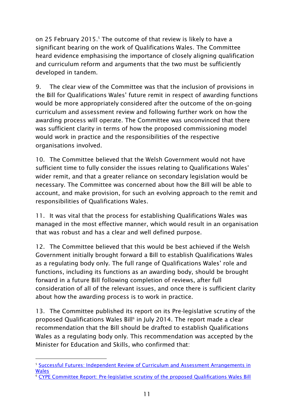on 25 February 2015.<sup>5</sup> The outcome of that review is likely to have a significant bearing on the work of Qualifications Wales. The Committee heard evidence emphasising the importance of closely aligning qualification and curriculum reform and arguments that the two must be sufficiently developed in tandem.

9. The clear view of the Committee was that the inclusion of provisions in the Bill for Qualifications Wales' future remit in respect of awarding functions would be more appropriately considered after the outcome of the on-going curriculum and assessment review and following further work on how the awarding process will operate. The Committee was unconvinced that there was sufficient clarity in terms of how the proposed commissioning model would work in practice and the responsibilities of the respective organisations involved.

10. The Committee believed that the Welsh Government would not have sufficient time to fully consider the issues relating to Qualifications Wales' wider remit, and that a greater reliance on secondary legislation would be necessary. The Committee was concerned about how the Bill will be able to account, and make provision, for such an evolving approach to the remit and responsibilities of Qualifications Wales.

11. It was vital that the process for establishing Qualifications Wales was managed in the most effective manner, which would result in an organisation that was robust and has a clear and well defined purpose.

12. The Committee believed that this would be best achieved if the Welsh Government initially brought forward a Bill to establish Qualifications Wales as a regulating body only. The full range of Qualifications Wales' role and functions, including its functions as an awarding body, should be brought forward in a future Bill following completion of reviews, after full consideration of all of the relevant issues, and once there is sufficient clarity about how the awarding process is to work in practice.

13. The Committee published its report on its Pre-legislative scrutiny of the proposed Qualifications Wales Bill<sup>6</sup> in July 2014. The report made a clear recommendation that the Bill should be drafted to establish Qualifications Wales as a regulating body only. This recommendation was accepted by the Minister for Education and Skills, who confirmed that:

<sup>-</sup><sup>5</sup> Successful Futures: Independent Review of Curriculum and Assessment Arrangements in [Wales](http://gov.wales/topics/educationandskills/schoolshome/curriculuminwales/curriculum-for-wales/?lang=en)

<sup>6</sup> [CYPE Committee Report: Pre-legislative scrutiny of the proposed Qualifications Wales Bill](http://www.assemblywales.org/bus-home/bus-business-fourth-assembly-laid-docs/cr-ld9833-e.pdf?langoption=3&ttl=CR-LD9833%20-%20Children%2C%20Young%20People%20and%20Education%20Committee%20Report%3A%20Pre-legislative%20scrutiny%20of%20the%20proposed%20Qualifications%20Wales%20Bill)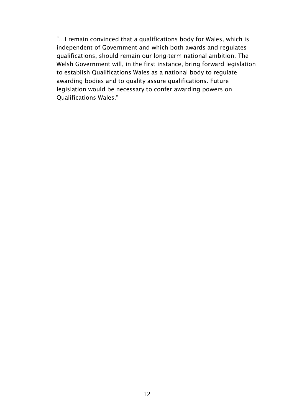"…I remain convinced that a qualifications body for Wales, which is independent of Government and which both awards and regulates qualifications, should remain our long-term national ambition. The Welsh Government will, in the first instance, bring forward legislation to establish Qualifications Wales as a national body to regulate awarding bodies and to quality assure qualifications. Future legislation would be necessary to confer awarding powers on Qualifications Wales."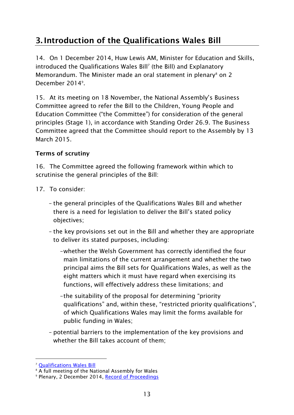# <span id="page-14-0"></span>**3. Introduction of the Qualifications Wales Bill**

14. On 1 December 2014, Huw Lewis AM, Minister for Education and Skills, introduced the Qualifications Wales Bill<sup>7</sup> (the Bill) and Explanatory Memorandum. The Minister made an oral statement in plenary $\delta$  on 2 December 2014<sup>9</sup>.

15. At its meeting on 18 November, the National Assembly's Business Committee agreed to refer the Bill to the Children, Young People and Education Committee ("the Committee") for consideration of the general principles (Stage 1), in accordance with Standing Order 26.9. The Business Committee agreed that the Committee should report to the Assembly by 13 March 2015.

#### <span id="page-14-1"></span>**Terms of scrutiny**

16. The Committee agreed the following framework within which to scrutinise the general principles of the Bill:

- 17. To consider:
	- the general principles of the Qualifications Wales Bill and whether there is a need for legislation to deliver the Bill's stated policy objectives;
	- the key provisions set out in the Bill and whether they are appropriate to deliver its stated purposes, including:
		- –whether the Welsh Government has correctly identified the four main limitations of the current arrangement and whether the two principal aims the Bill sets for Qualifications Wales, as well as the eight matters which it must have regard when exercising its functions, will effectively address these limitations; and
		- –the suitability of the proposal for determining "priority qualifications" and, within these, "restricted priority qualifications", of which Qualifications Wales may limit the forms available for public funding in Wales;
	- potential barriers to the implementation of the key provisions and whether the Bill takes account of them;

<sup>-</sup><sup>7</sup> [Qualifications Wales Bill](http://www.assembly.wales/laid%20documents/pri-ld10026%20-%20qualifications%20wales%20bill/pri-ld10026-e.pdf)

<sup>8</sup> A full meeting of the National Assembly for Wales

<sup>&</sup>lt;sup>9</sup> Plenary, 2 December 2014, <u>Record of Proceedings</u>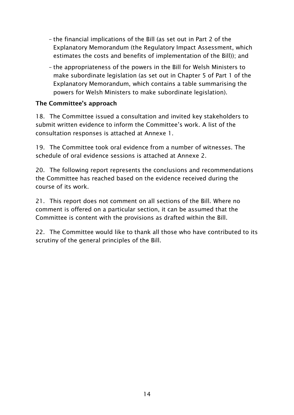- the financial implications of the Bill (as set out in Part 2 of the Explanatory Memorandum (the Regulatory Impact Assessment, which estimates the costs and benefits of implementation of the Bill)); and
- the appropriateness of the powers in the Bill for Welsh Ministers to make subordinate legislation (as set out in Chapter 5 of Part 1 of the Explanatory Memorandum, which contains a table summarising the powers for Welsh Ministers to make subordinate legislation).

#### <span id="page-15-0"></span>**The Committee's approach**

18. The Committee issued a consultation and invited key stakeholders to submit written evidence to inform the Committee's work. A list of the consultation responses is attached at Annexe 1.

19. The Committee took oral evidence from a number of witnesses. The schedule of oral evidence sessions is attached at Annexe 2.

20. The following report represents the conclusions and recommendations the Committee has reached based on the evidence received during the course of its work.

21. This report does not comment on all sections of the Bill. Where no comment is offered on a particular section, it can be assumed that the Committee is content with the provisions as drafted within the Bill.

22. The Committee would like to thank all those who have contributed to its scrutiny of the general principles of the Bill.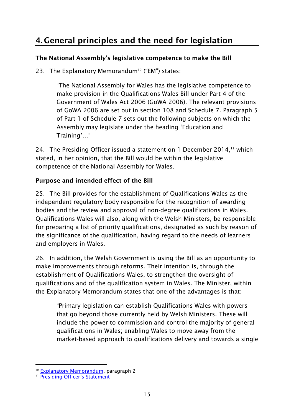### <span id="page-16-0"></span>**4. General principles and the need for legislation**

#### <span id="page-16-1"></span>**The National Assembly's legislative competence to make the Bill**

23. The Explanatory Memorandum<sup>10</sup> ("EM") states:

"The National Assembly for Wales has the legislative competence to make provision in the Qualifications Wales Bill under Part 4 of the Government of Wales Act 2006 (GoWA 2006). The relevant provisions of GoWA 2006 are set out in section 108 and Schedule 7. Paragraph 5 of Part 1 of Schedule 7 sets out the following subjects on which the Assembly may legislate under the heading 'Education and Training'…"

24. The Presiding Officer issued a statement on 1 December 2014, $<sup>11</sup>$  which</sup> stated, in her opinion, that the Bill would be within the legislative competence of the National Assembly for Wales.

#### <span id="page-16-2"></span>**Purpose and intended effect of the Bill**

25. The Bill provides for the establishment of Qualifications Wales as the independent regulatory body responsible for the recognition of awarding bodies and the review and approval of non-degree qualifications in Wales. Qualifications Wales will also, along with the Welsh Ministers, be responsible for preparing a list of priority qualifications, designated as such by reason of the significance of the qualification, having regard to the needs of learners and employers in Wales.

26. In addition, the Welsh Government is using the Bill as an opportunity to make improvements through reforms. Their intention is, through the establishment of Qualifications Wales, to strengthen the oversight of qualifications and of the qualification system in Wales. The Minister, within the Explanatory Memorandum states that one of the advantages is that:

"Primary legislation can establish Qualifications Wales with powers that go beyond those currently held by Welsh Ministers. These will include the power to commission and control the majority of general qualifications in Wales; enabling Wales to move away from the market-based approach to qualifications delivery and towards a single

-

<sup>&</sup>lt;sup>10</sup> [Explanatory Memorandum,](http://www.assembly.wales/laid%20documents/pri-ld10026-em%20-%20qualifications%20wales%20bill%20-%20explanatory%20memorandum/pri-ld10026-em-e.pdf) paragraph 2

<sup>&</sup>lt;sup>11</sup> [Presiding Officer](http://www.assembly.wales/laid%20documents/pri-ld10026-pos%20-%20qualifications%20wales%20bill%20-%20presiding%20officer%e2%80%99s%20statement%20on%20legislative%20competence/pri-ld10026-pos-e.pdf)'s Statement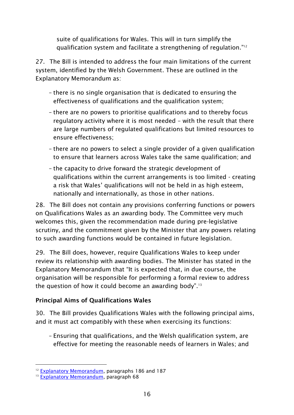suite of qualifications for Wales. This will in turn simplify the qualification system and facilitate a strengthening of regulation." 12

27. The Bill is intended to address the four main limitations of the current system, identified by the Welsh Government. These are outlined in the Explanatory Memorandum as:

- there is no single organisation that is dedicated to ensuring the effectiveness of qualifications and the qualification system;
- there are no powers to prioritise qualifications and to thereby focus regulatory activity where it is most needed – with the result that there are large numbers of regulated qualifications but limited resources to ensure effectiveness;
- there are no powers to select a single provider of a given qualification to ensure that learners across Wales take the same qualification; and
- the capacity to drive forward the strategic development of qualifications within the current arrangements is too limited - creating a risk that Wales' qualifications will not be held in as high esteem, nationally and internationally, as those in other nations.

28. The Bill does not contain any provisions conferring functions or powers on Qualifications Wales as an awarding body. The Committee very much welcomes this, given the recommendation made during pre-legislative scrutiny, and the commitment given by the Minister that any powers relating to such awarding functions would be contained in future legislation.

29. The Bill does, however, require Qualifications Wales to keep under review its relationship with awarding bodies. The Minister has stated in the Explanatory Memorandum that "It is expected that, in due course, the organisation will be responsible for performing a formal review to address the question of how it could become an awarding body".<sup>13</sup>

#### <span id="page-17-0"></span>**Principal Aims of Qualifications Wales**

30. The Bill provides Qualifications Wales with the following principal aims, and it must act compatibly with these when exercising its functions:

– Ensuring that qualifications, and the Welsh qualification system, are effective for meeting the reasonable needs of learners in Wales; and

<sup>-</sup><sup>12</sup> [Explanatory Memorandum,](http://www.assembly.wales/laid%20documents/pri-ld10026-em%20-%20qualifications%20wales%20bill%20-%20explanatory%20memorandum/pri-ld10026-em-e.pdf) paragraphs 186 and 187

<sup>&</sup>lt;sup>13</sup> [Explanatory Memorandum,](http://www.assembly.wales/laid%20documents/pri-ld10026-em%20-%20qualifications%20wales%20bill%20-%20explanatory%20memorandum/pri-ld10026-em-e.pdf) paragraph 68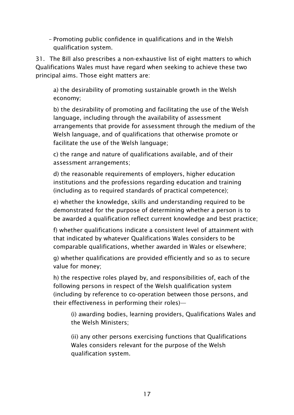– Promoting public confidence in qualifications and in the Welsh qualification system.

31. The Bill also prescribes a non-exhaustive list of eight matters to which Qualifications Wales must have regard when seeking to achieve these two principal aims. Those eight matters are:

a) the desirability of promoting sustainable growth in the Welsh economy;

b) the desirability of promoting and facilitating the use of the Welsh language, including through the availability of assessment arrangements that provide for assessment through the medium of the Welsh language, and of qualifications that otherwise promote or facilitate the use of the Welsh language;

c) the range and nature of qualifications available, and of their assessment arrangements;

d) the reasonable requirements of employers, higher education institutions and the professions regarding education and training (including as to required standards of practical competence);

e) whether the knowledge, skills and understanding required to be demonstrated for the purpose of determining whether a person is to be awarded a qualification reflect current knowledge and best practice;

f) whether qualifications indicate a consistent level of attainment with that indicated by whatever Qualifications Wales considers to be comparable qualifications, whether awarded in Wales or elsewhere;

g) whether qualifications are provided efficiently and so as to secure value for money;

h) the respective roles played by, and responsibilities of, each of the following persons in respect of the Welsh qualification system (including by reference to co-operation between those persons, and their effectiveness in performing their roles)—

(i) awarding bodies, learning providers, Qualifications Wales and the Welsh Ministers;

(ii) any other persons exercising functions that Qualifications Wales considers relevant for the purpose of the Welsh qualification system.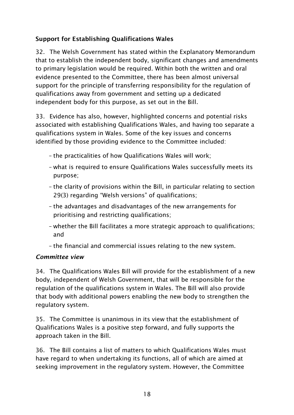#### <span id="page-19-0"></span>**Support for Establishing Qualifications Wales**

32. The Welsh Government has stated within the Explanatory Memorandum that to establish the independent body, significant changes and amendments to primary legislation would be required. Within both the written and oral evidence presented to the Committee, there has been almost universal support for the principle of transferring responsibility for the regulation of qualifications away from government and setting up a dedicated independent body for this purpose, as set out in the Bill.

33. Evidence has also, however, highlighted concerns and potential risks associated with establishing Qualifications Wales, and having too separate a qualifications system in Wales. Some of the key issues and concerns identified by those providing evidence to the Committee included:

- the practicalities of how Qualifications Wales will work;
- what is required to ensure Qualifications Wales successfully meets its purpose;
- the clarity of provisions within the Bill, in particular relating to section 29(3) regarding "Welsh versions" of qualifications;
- the advantages and disadvantages of the new arrangements for prioritising and restricting qualifications;
- whether the Bill facilitates a more strategic approach to qualifications; and
- the financial and commercial issues relating to the new system.

#### <span id="page-19-1"></span>*Committee view*

34. The Qualifications Wales Bill will provide for the establishment of a new body, independent of Welsh Government, that will be responsible for the regulation of the qualifications system in Wales. The Bill will also provide that body with additional powers enabling the new body to strengthen the regulatory system.

35. The Committee is unanimous in its view that the establishment of Qualifications Wales is a positive step forward, and fully supports the approach taken in the Bill.

36. The Bill contains a list of matters to which Qualifications Wales must have regard to when undertaking its functions, all of which are aimed at seeking improvement in the regulatory system. However, the Committee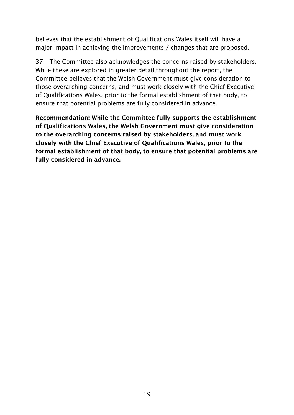believes that the establishment of Qualifications Wales itself will have a major impact in achieving the improvements / changes that are proposed.

37. The Committee also acknowledges the concerns raised by stakeholders. While these are explored in greater detail throughout the report, the Committee believes that the Welsh Government must give consideration to those overarching concerns, and must work closely with the Chief Executive of Qualifications Wales, prior to the formal establishment of that body, to ensure that potential problems are fully considered in advance.

<span id="page-20-0"></span>**Recommendation: While the Committee fully supports the establishment of Qualifications Wales, the Welsh Government must give consideration to the overarching concerns raised by stakeholders, and must work closely with the Chief Executive of Qualifications Wales, prior to the formal establishment of that body, to ensure that potential problems are fully considered in advance.**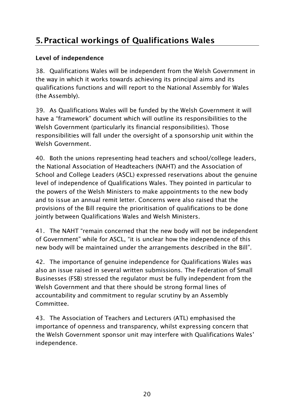# **5. Practical workings of Qualifications Wales**

#### <span id="page-21-0"></span>**Level of independence**

38. Qualifications Wales will be independent from the Welsh Government in the way in which it works towards achieving its principal aims and its qualifications functions and will report to the National Assembly for Wales (the Assembly).

39. As Qualifications Wales will be funded by the Welsh Government it will have a "framework" document which will outline its responsibilities to the Welsh Government (particularly its financial responsibilities). Those responsibilities will fall under the oversight of a sponsorship unit within the Welsh Government.

40. Both the unions representing head teachers and school/college leaders, the National Association of Headteachers (NAHT) and the Association of School and College Leaders (ASCL) expressed reservations about the genuine level of independence of Qualifications Wales. They pointed in particular to the powers of the Welsh Ministers to make appointments to the new body and to issue an annual remit letter. Concerns were also raised that the provisions of the Bill require the prioritisation of qualifications to be done jointly between Qualifications Wales and Welsh Ministers.

41. The NAHT "remain concerned that the new body will not be independent of Government" while for ASCL, "it is unclear how the independence of this new body will be maintained under the arrangements described in the Bill".

42. The importance of genuine independence for Qualifications Wales was also an issue raised in several written submissions. The Federation of Small Businesses (FSB) stressed the regulator must be fully independent from the Welsh Government and that there should be strong formal lines of accountability and commitment to regular scrutiny by an Assembly Committee.

43. The Association of Teachers and Lecturers (ATL) emphasised the importance of openness and transparency, whilst expressing concern that the Welsh Government sponsor unit may interfere with Qualifications Wales' independence.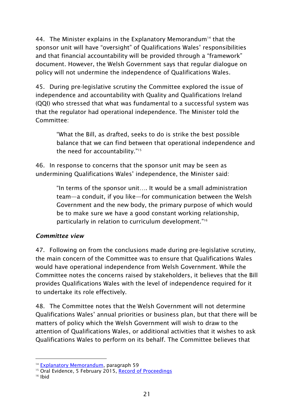44. The Minister explains in the Explanatory Memorandum<sup>14</sup> that the sponsor unit will have "oversight" of Qualifications Wales' responsibilities and that financial accountability will be provided through a "framework" document. However, the Welsh Government says that regular dialogue on policy will not undermine the independence of Qualifications Wales.

45. During pre-legislative scrutiny the Committee explored the issue of independence and accountability with Quality and Qualifications Ireland (QQI) who stressed that what was fundamental to a successful system was that the regulator had operational independence. The Minister told the Committee:

"What the Bill, as drafted, seeks to do is strike the best possible balance that we can find between that operational independence and the need for accountability."<sup>15</sup>

46. In response to concerns that the sponsor unit may be seen as undermining Qualifications Wales' independence, the Minister said:

> "In terms of the sponsor unit…. It would be a small administration team—a conduit, if you like—for communication between the Welsh Government and the new body, the primary purpose of which would be to make sure we have a good constant working relationship, particularly in relation to curriculum development." 16

#### <span id="page-22-0"></span>*Committee view*

47. Following on from the conclusions made during pre-legislative scrutiny, the main concern of the Committee was to ensure that Qualifications Wales would have operational independence from Welsh Government. While the Committee notes the concerns raised by stakeholders, it believes that the Bill provides Qualifications Wales with the level of independence required for it to undertake its role effectively.

48. The Committee notes that the Welsh Government will not determine Qualifications Wales' annual priorities or business plan, but that there will be matters of policy which the Welsh Government will wish to draw to the attention of Qualifications Wales, or additional activities that it wishes to ask Qualifications Wales to perform on its behalf. The Committee believes that

<sup>-</sup><sup>14</sup> [Explanatory Memorandum,](http://www.assembly.wales/laid%20documents/pri-ld10026-em%20-%20qualifications%20wales%20bill%20-%20explanatory%20memorandum/pri-ld10026-em-e.pdf) paragraph 59

<sup>&</sup>lt;sup>15</sup> Oral Evidence, 5 February 2015, [Record of Proceedings](http://www.senedd.assembly.wales/documents/s36636/5%20February%202015.pdf)

 $16$  Ihid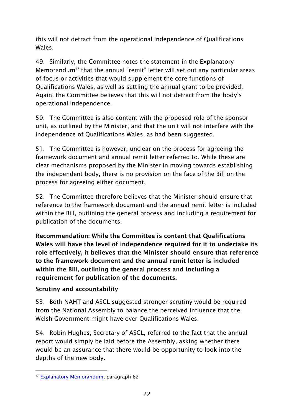this will not detract from the operational independence of Qualifications Wales.

49. Similarly, the Committee notes the statement in the Explanatory Memorandum<sup>17</sup> that the annual "remit" letter will set out any particular areas of focus or activities that would supplement the core functions of Qualifications Wales, as well as settling the annual grant to be provided. Again, the Committee believes that this will not detract from the body's operational independence.

50. The Committee is also content with the proposed role of the sponsor unit, as outlined by the Minister, and that the unit will not interfere with the independence of Qualifications Wales, as had been suggested.

51. The Committee is however, unclear on the process for agreeing the framework document and annual remit letter referred to. While these are clear mechanisms proposed by the Minister in moving towards establishing the independent body, there is no provision on the face of the Bill on the process for agreeing either document.

52. The Committee therefore believes that the Minister should ensure that reference to the framework document and the annual remit letter is included within the Bill, outlining the general process and including a requirement for publication of the documents.

**Recommendation: While the Committee is content that Qualifications Wales will have the level of independence required for it to undertake its role effectively, it believes that the Minister should ensure that reference to the framework document and the annual remit letter is included within the Bill, outlining the general process and including a requirement for publication of the documents.** 

#### <span id="page-23-0"></span>**Scrutiny and accountability**

53. Both NAHT and ASCL suggested stronger scrutiny would be required from the National Assembly to balance the perceived influence that the Welsh Government might have over Qualifications Wales.

54. Robin Hughes, Secretary of ASCL, referred to the fact that the annual report would simply be laid before the Assembly, asking whether there would be an assurance that there would be opportunity to look into the depths of the new body.

<sup>-</sup><sup>17</sup> [Explanatory Memorandum,](http://www.assembly.wales/laid%20documents/pri-ld10026-em%20-%20qualifications%20wales%20bill%20-%20explanatory%20memorandum/pri-ld10026-em-e.pdf) paragraph 62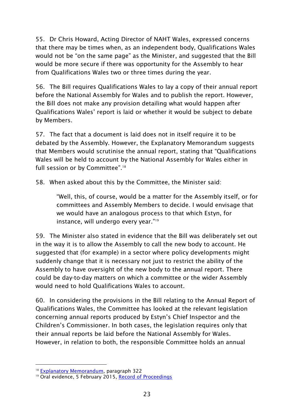55. Dr Chris Howard, Acting Director of NAHT Wales, expressed concerns that there may be times when, as an independent body, Qualifications Wales would not be "on the same page" as the Minister, and suggested that the Bill would be more secure if there was opportunity for the Assembly to hear from Qualifications Wales two or three times during the year.

56. The Bill requires Qualifications Wales to lay a copy of their annual report before the National Assembly for Wales and to publish the report. However, the Bill does not make any provision detailing what would happen after Qualifications Wales' report is laid or whether it would be subject to debate by Members.

57. The fact that a document is laid does not in itself require it to be debated by the Assembly. However, the Explanatory Memorandum suggests that Members would scrutinise the annual report, stating that "Qualifications Wales will be held to account by the National Assembly for Wales either in full session or by Committee".<sup>18</sup>

58. When asked about this by the Committee, the Minister said:

"Well, this, of course, would be a matter for the Assembly itself, or for committees and Assembly Members to decide. I would envisage that we would have an analogous process to that which Estyn, for instance, will undergo every year." 19

59. The Minister also stated in evidence that the Bill was deliberately set out in the way it is to allow the Assembly to call the new body to account. He suggested that (for example) in a sector where policy developments might suddenly change that it is necessary not just to restrict the ability of the Assembly to have oversight of the new body to the annual report. There could be day-to-day matters on which a committee or the wider Assembly would need to hold Qualifications Wales to account.

60. In considering the provisions in the Bill relating to the Annual Report of Qualifications Wales, the Committee has looked at the relevant legislation concerning annual reports produced by Estyn's Chief Inspector and the Children's Commissioner. In both cases, the legislation requires only that their annual reports be laid before the National Assembly for Wales. However, in relation to both, the responsible Committee holds an annual

-

<sup>&</sup>lt;sup>18</sup> [Explanatory Memorandum,](http://www.assembly.wales/laid%20documents/pri-ld10026-em%20-%20qualifications%20wales%20bill%20-%20explanatory%20memorandum/pri-ld10026-em-e.pdf) paragraph 322

<sup>&</sup>lt;sup>19</sup> Oral evidence, 5 February 2015, [Record of Proceedings](http://www.senedd.assembly.wales/documents/s36636/5%20February%202015.pdf)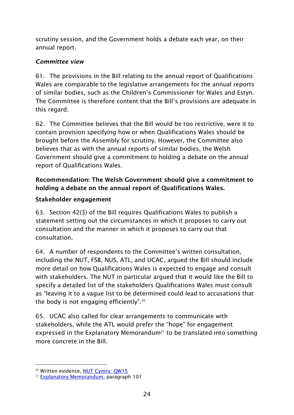scrutiny session, and the Government holds a debate each year, on their annual report.

#### <span id="page-25-0"></span>*Committee view*

61. The provisions in the Bill relating to the annual report of Qualifications Wales are comparable to the legislative arrangements for the annual reports of similar bodies, such as the Children's Commissioner for Wales and Estyn. The Committee is therefore content that the Bill's provisions are adequate in this regard.

62. The Committee believes that the Bill would be too restrictive, were it to contain provision specifying how or when Qualifications Wales should be brought before the Assembly for scrutiny. However, the Committee also believes that as with the annual reports of similar bodies, the Welsh Government should give a commitment to holding a debate on the annual report of Qualifications Wales.

#### **Recommendation: The Welsh Government should give a commitment to holding a debate on the annual report of Qualifications Wales.**

#### <span id="page-25-1"></span>**Stakeholder engagement**

63. Section 42(3) of the Bill requires Qualifications Wales to publish a statement setting out the circumstances in which it proposes to carry out consultation and the manner in which it proposes to carry out that consultation.

64. A number of respondents to the Committee's written consultation, including the NUT, FSB, NUS, ATL, and UCAC, argued the Bill should include more detail on how Qualifications Wales is expected to engage and consult with stakeholders. The NUT in particular argued that it would like the Bill to specify a detailed list of the stakeholders Qualifications Wales must consult as "leaving it to a vague list to be determined could lead to accusations that the body is not engaging efficiently".  $20$ 

65. UCAC also called for clear arrangements to communicate with stakeholders, while the ATL would prefer the "hope" for engagement expressed in the Explanatory Memorandum<sup>21</sup> to be translated into something more concrete in the Bill.

-

<sup>&</sup>lt;sup>20</sup> Written evidence, [NUT Cymru: QW15](http://www.senedd.assembly.wales/documents/s35671/QW%2015%20NUT%20Cymru.pdf)

<sup>21</sup> [Explanatory Memorandum,](http://www.assembly.wales/laid%20documents/pri-ld10026-em%20-%20qualifications%20wales%20bill%20-%20explanatory%20memorandum/pri-ld10026-em-e.pdf) paragraph 101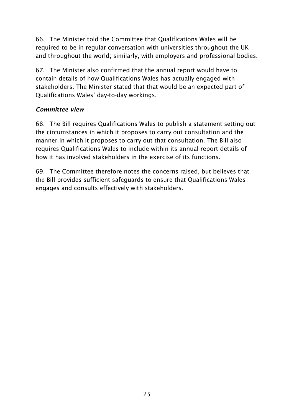66. The Minister told the Committee that Qualifications Wales will be required to be in regular conversation with universities throughout the UK and throughout the world; similarly, with employers and professional bodies.

67. The Minister also confirmed that the annual report would have to contain details of how Qualifications Wales has actually engaged with stakeholders. The Minister stated that that would be an expected part of Qualifications Wales' day-to-day workings.

#### <span id="page-26-0"></span>*Committee view*

68. The Bill requires Qualifications Wales to publish a statement setting out the circumstances in which it proposes to carry out consultation and the manner in which it proposes to carry out that consultation. The Bill also requires Qualifications Wales to include within its annual report details of how it has involved stakeholders in the exercise of its functions.

<span id="page-26-1"></span>69. The Committee therefore notes the concerns raised, but believes that the Bill provides sufficient safeguards to ensure that Qualifications Wales engages and consults effectively with stakeholders.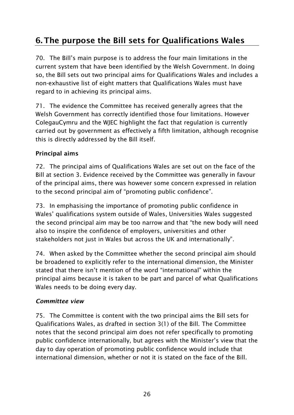# **6. The purpose the Bill sets for Qualifications Wales**

70. The Bill's main purpose is to address the four main limitations in the current system that have been identified by the Welsh Government. In doing so, the Bill sets out two principal aims for Qualifications Wales and includes a non-exhaustive list of eight matters that Qualifications Wales must have regard to in achieving its principal aims.

71. The evidence the Committee has received generally agrees that the Welsh Government has correctly identified those four limitations. However ColegauCymru and the WJEC highlight the fact that regulation is currently carried out by government as effectively a fifth limitation, although recognise this is directly addressed by the Bill itself.

#### <span id="page-27-0"></span>**Principal aims**

72. The principal aims of Qualifications Wales are set out on the face of the Bill at section 3. Evidence received by the Committee was generally in favour of the principal aims, there was however some concern expressed in relation to the second principal aim of "promoting public confidence".

73. In emphasising the importance of promoting public confidence in Wales' qualifications system outside of Wales, Universities Wales suggested the second principal aim may be too narrow and that "the new body will need also to inspire the confidence of employers, universities and other stakeholders not just in Wales but across the UK and internationally".

74. When asked by the Committee whether the second principal aim should be broadened to explicitly refer to the international dimension, the Minister stated that there isn't mention of the word "international" within the principal aims because it is taken to be part and parcel of what Qualifications Wales needs to be doing every day.

#### <span id="page-27-1"></span>*Committee view*

75. The Committee is content with the two principal aims the Bill sets for Qualifications Wales, as drafted in section 3(1) of the Bill. The Committee notes that the second principal aim does not refer specifically to promoting public confidence internationally, but agrees with the Minister's view that the day to day operation of promoting public confidence would include that international dimension, whether or not it is stated on the face of the Bill.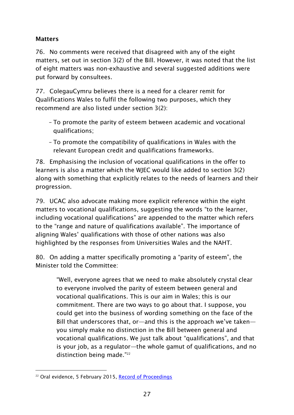#### <span id="page-28-0"></span>**Matters**

76. No comments were received that disagreed with any of the eight matters, set out in section 3(2) of the Bill. However, it was noted that the list of eight matters was non-exhaustive and several suggested additions were put forward by consultees.

77. ColegauCymru believes there is a need for a clearer remit for Qualifications Wales to fulfil the following two purposes, which they recommend are also listed under section 3(2):

- To promote the parity of esteem between academic and vocational qualifications;
- To promote the compatibility of qualifications in Wales with the relevant European credit and qualifications frameworks.

78. Emphasising the inclusion of vocational qualifications in the offer to learners is also a matter which the WJEC would like added to section 3(2) along with something that explicitly relates to the needs of learners and their progression.

79. UCAC also advocate making more explicit reference within the eight matters to vocational qualifications, suggesting the words "to the learner, including vocational qualifications" are appended to the matter which refers to the "range and nature of qualifications available". The importance of aligning Wales' qualifications with those of other nations was also highlighted by the responses from Universities Wales and the NAHT.

80. On adding a matter specifically promoting a "parity of esteem", the Minister told the Committee:

"Well, everyone agrees that we need to make absolutely crystal clear to everyone involved the parity of esteem between general and vocational qualifications. This is our aim in Wales; this is our commitment. There are two ways to go about that. I suppose, you could get into the business of wording something on the face of the Bill that underscores that, or—and this is the approach we've taken you simply make no distinction in the Bill between general and vocational qualifications. We just talk about "qualifications", and that is your job, as a regulator—the whole gamut of qualifications, and no distinction being made." 22

<sup>-</sup><sup>22</sup> Oral evidence, 5 February 2015, <u>Record of Proceedings</u>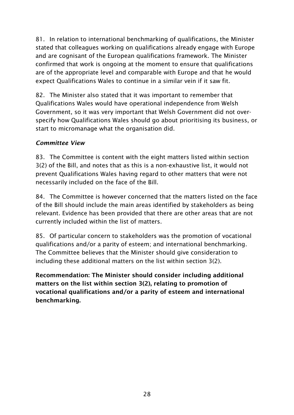81. In relation to international benchmarking of qualifications, the Minister stated that colleagues working on qualifications already engage with Europe and are cognisant of the European qualifications framework. The Minister confirmed that work is ongoing at the moment to ensure that qualifications are of the appropriate level and comparable with Europe and that he would expect Qualifications Wales to continue in a similar vein if it saw fit.

82. The Minister also stated that it was important to remember that Qualifications Wales would have operational independence from Welsh Government, so it was very important that Welsh Government did not overspecify how Qualifications Wales should go about prioritising its business, or start to micromanage what the organisation did.

#### <span id="page-29-0"></span>*Committee View*

83. The Committee is content with the eight matters listed within section 3(2) of the Bill, and notes that as this is a non-exhaustive list, it would not prevent Qualifications Wales having regard to other matters that were not necessarily included on the face of the Bill.

84. The Committee is however concerned that the matters listed on the face of the Bill should include the main areas identified by stakeholders as being relevant. Evidence has been provided that there are other areas that are not currently included within the list of matters.

85. Of particular concern to stakeholders was the promotion of vocational qualifications and/or a parity of esteem; and international benchmarking. The Committee believes that the Minister should give consideration to including these additional matters on the list within section 3(2).

<span id="page-29-1"></span>**Recommendation: The Minister should consider including additional matters on the list within section 3(2), relating to promotion of vocational qualifications and/or a parity of esteem and international benchmarking.**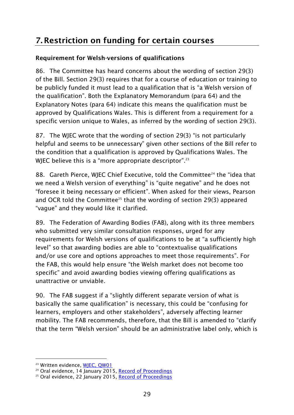### **7. Restriction on funding for certain courses**

#### <span id="page-30-0"></span>**Requirement for Welsh-versions of qualifications**

86. The Committee has heard concerns about the wording of section 29(3) of the Bill. Section 29(3) requires that for a course of education or training to be publicly funded it must lead to a qualification that is "a Welsh version of the qualification". Both the Explanatory Memorandum (para 64) and the Explanatory Notes (para 64) indicate this means the qualification must be approved by Qualifications Wales. This is different from a requirement for a specific version unique to Wales, as inferred by the wording of section 29(3).

87. The WJEC wrote that the wording of section 29(3) "is not particularly helpful and seems to be unnecessary" given other sections of the Bill refer to the condition that a qualification is approved by Qualifications Wales. The WJEC believe this is a "more appropriate descriptor". $^{23}$ 

88. Gareth Pierce, WJEC Chief Executive, told the Committee<sup>24</sup> the "idea that we need a Welsh version of everything" is "quite negative" and he does not "foresee it being necessary or efficient". When asked for their views, Pearson and OCR told the Committee<sup>25</sup> that the wording of section 29(3) appeared "vague" and they would like it clarified.

89. The Federation of Awarding Bodies (FAB), along with its three members who submitted very similar consultation responses, urged for any requirements for Welsh versions of qualifications to be at "a sufficiently high level" so that awarding bodies are able to "contextualise qualifications and/or use core and options approaches to meet those requirements". For the FAB, this would help ensure "the Welsh market does not become too specific" and avoid awarding bodies viewing offering qualifications as unattractive or unviable.

90. The FAB suggest if a "slightly different separate version of what is basically the same qualification" is necessary, this could be "confusing for learners, employers and other stakeholders", adversely affecting learner mobility. The FAB recommends, therefore, that the Bill is amended to "clarify that the term "Welsh version" should be an administrative label only, which is

-

<sup>&</sup>lt;sup>23</sup> Written evidence, [WJEC, QW01](http://www.senedd.assembly.wales/documents/s35657/QW%2001%20WJEC.pdf)

<sup>&</sup>lt;sup>24</sup> Oral evidence, 14 January 2015, [Record of Proceedings](http://www.senedd.assembly.wales/documents/s35697/14%20January%202015.pdf)

<sup>&</sup>lt;sup>25</sup> Oral evidence, 22 January 2015, [Record of Proceedings](http://www.senedd.assembly.wales/documents/s35968/22%20January%202015.pdf)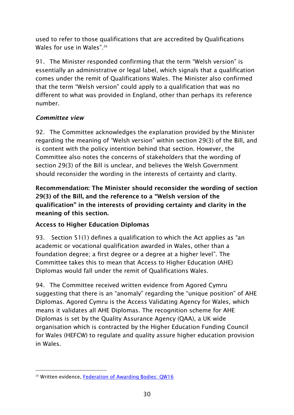used to refer to those qualifications that are accredited by Qualifications Wales for use in Wales". 26

91. The Minister responded confirming that the term "Welsh version" is essentially an administrative or legal label, which signals that a qualification comes under the remit of Qualifications Wales. The Minister also confirmed that the term "Welsh version" could apply to a qualification that was no different to what was provided in England, other than perhaps its reference number.

#### <span id="page-31-0"></span>*Committee view*

92. The Committee acknowledges the explanation provided by the Minister regarding the meaning of "Welsh version" within section 29(3) of the Bill, and is content with the policy intention behind that section. However, the Committee also notes the concerns of stakeholders that the wording of section 29(3) of the Bill is unclear, and believes the Welsh Government should reconsider the wording in the interests of certainty and clarity.

**Recommendation: The Minister should reconsider the wording of section 29(3) of the Bill, and the reference to a "Welsh version of the qualification" in the interests of providing certainty and clarity in the meaning of this section.** 

#### <span id="page-31-1"></span>**Access to Higher Education Diplomas**

93. Section 51(1) defines a qualification to which the Act applies as "an academic or vocational qualification awarded in Wales, other than a foundation degree; a first degree or a degree at a higher level". The Committee takes this to mean that Access to Higher Education (AHE) Diplomas would fall under the remit of Qualifications Wales.

94. The Committee received written evidence from Agored Cymru suggesting that there is an "anomaly" regarding the "unique position" of AHE Diplomas. Agored Cymru is the Access Validating Agency for Wales, which means it validates all AHE Diplomas. The recognition scheme for AHE Diplomas is set by the Quality Assurance Agency (QAA), a UK wide organisation which is contracted by the Higher Education Funding Council for Wales (HEFCW) to regulate and quality assure higher education provision in Wales.

<sup>-</sup><sup>26</sup> Written evidence, [Federation of Awarding Bodies: QW16](http://www.senedd.assembly.wales/documents/s35672/QW%2016%20Federation%20of%20Awarding%20Bodies%20FAB.pdf)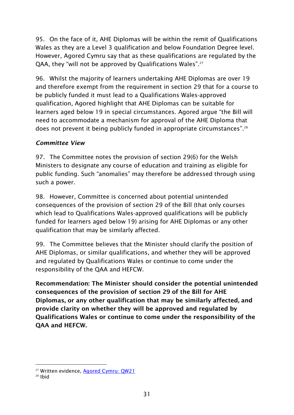95. On the face of it, AHE Diplomas will be within the remit of Qualifications Wales as they are a Level 3 qualification and below Foundation Degree level. However, Agored Cymru say that as these qualifications are regulated by the QAA, they "will not be approved by Qualifications Wales". 27

96. Whilst the majority of learners undertaking AHE Diplomas are over 19 and therefore exempt from the requirement in section 29 that for a course to be publicly funded it must lead to a Qualifications Wales-approved qualification, Agored highlight that AHE Diplomas can be suitable for learners aged below 19 in special circumstances. Agored argue "the Bill will need to accommodate a mechanism for approval of the AHE Diploma that does not prevent it being publicly funded in appropriate circumstances".<sup>28</sup>

#### <span id="page-32-0"></span>*Committee View*

97. The Committee notes the provision of section 29(6) for the Welsh Ministers to designate any course of education and training as eligible for public funding. Such "anomalies" may therefore be addressed through using such a power.

98. However, Committee is concerned about potential unintended consequences of the provision of section 29 of the Bill (that only courses which lead to Qualifications Wales-approved qualifications will be publicly funded for learners aged below 19) arising for AHE Diplomas or any other qualification that may be similarly affected.

99. The Committee believes that the Minister should clarify the position of AHE Diplomas, or similar qualifications, and whether they will be approved and regulated by Qualifications Wales or continue to come under the responsibility of the QAA and HEFCW.

**Recommendation: The Minister should consider the potential unintended consequences of the provision of section 29 of the Bill for AHE Diplomas, or any other qualification that may be similarly affected, and provide clarity on whether they will be approved and regulated by Qualifications Wales or continue to come under the responsibility of the QAA and HEFCW.** 

-

<sup>&</sup>lt;sup>27</sup> Written evidence, **Agored Cymru: QW21** 

<sup>28</sup> Ibid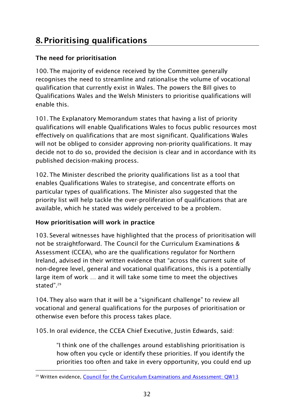# <span id="page-33-0"></span>**8. Prioritising qualifications**

#### <span id="page-33-1"></span>**The need for prioritisation**

100.The majority of evidence received by the Committee generally recognises the need to streamline and rationalise the volume of vocational qualification that currently exist in Wales. The powers the Bill gives to Qualifications Wales and the Welsh Ministers to prioritise qualifications will enable this.

101.The Explanatory Memorandum states that having a list of priority qualifications will enable Qualifications Wales to focus public resources most effectively on qualifications that are most significant. Qualifications Wales will not be obliged to consider approving non-priority qualifications. It may decide not to do so, provided the decision is clear and in accordance with its published decision-making process.

102.The Minister described the priority qualifications list as a tool that enables Qualifications Wales to strategise, and concentrate efforts on particular types of qualifications. The Minister also suggested that the priority list will help tackle the over-proliferation of qualifications that are available, which he stated was widely perceived to be a problem.

#### <span id="page-33-2"></span>**How prioritisation will work in practice**

103. Several witnesses have highlighted that the process of prioritisation will not be straightforward. The Council for the Curriculum Examinations & Assessment (CCEA), who are the qualifications regulator for Northern Ireland, advised in their written evidence that "across the current suite of non-degree level, general and vocational qualifications, this is a potentially large item of work … and it will take some time to meet the objectives stated". 29

104.They also warn that it will be a "significant challenge" to review all vocational and general qualifications for the purposes of prioritisation or otherwise even before this process takes place.

105.In oral evidence, the CCEA Chief Executive, Justin Edwards, said:

"I think one of the challenges around establishing prioritisation is how often you cycle or identify these priorities. If you identify the priorities too often and take in every opportunity, you could end up

<sup>-</sup><sup>29</sup> Written evidence, [Council for the Curriculum Examinations and Assessment: QW13](http://www.senedd.assembly.wales/documents/s35669/QW%2013%20Council%20for%20the%20Curriculum%20Examinations%20and%20Assessment.pdf)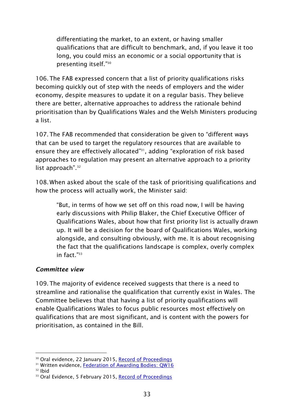differentiating the market, to an extent, or having smaller qualifications that are difficult to benchmark, and, if you leave it too long, you could miss an economic or a social opportunity that is presenting itself." 30

106.The FAB expressed concern that a list of priority qualifications risks becoming quickly out of step with the needs of employers and the wider economy, despite measures to update it on a regular basis. They believe there are better, alternative approaches to address the rationale behind prioritisation than by Qualifications Wales and the Welsh Ministers producing a list.

107.The FAB recommended that consideration be given to "different ways that can be used to target the regulatory resources that are available to ensure they are effectively allocated" <sup>31</sup>, adding "exploration of risk based approaches to regulation may present an alternative approach to a priority list approach". 32

108. When asked about the scale of the task of prioritising qualifications and how the process will actually work, the Minister said:

"But, in terms of how we set off on this road now, I will be having early discussions with Philip Blaker, the Chief Executive Officer of Qualifications Wales, about how that first priority list is actually drawn up. It will be a decision for the board of Qualifications Wales, working alongside, and consulting obviously, with me. It is about recognising the fact that the qualifications landscape is complex, overly complex in fact." 33

#### <span id="page-34-0"></span>*Committee view*

109.The majority of evidence received suggests that there is a need to streamline and rationalise the qualification that currently exist in Wales. The Committee believes that that having a list of priority qualifications will enable Qualifications Wales to focus public resources most effectively on qualifications that are most significant, and is content with the powers for prioritisation, as contained in the Bill.

-

<sup>&</sup>lt;sup>30</sup> Oral evidence, 22 January 2015, [Record of Proceedings](http://www.senedd.assembly.wales/documents/s35968/22%20January%202015.pdf)

<sup>&</sup>lt;sup>31</sup> Written evidence, [Federation of Awarding Bodies: QW16](http://www.senedd.assembly.wales/documents/s35672/QW%2016%20Federation%20of%20Awarding%20Bodies%20FAB.pdf)

<sup>32</sup> Ibid

<sup>&</sup>lt;sup>33</sup> Oral Evidence, 5 February 2015, [Record of Proceedings](http://www.senedd.assembly.wales/documents/s36636/5%20February%202015.pdf)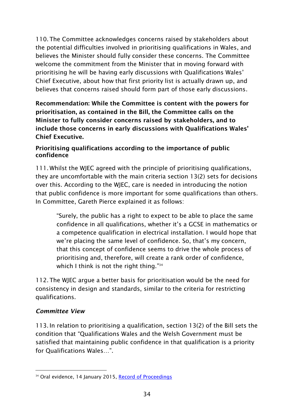110.The Committee acknowledges concerns raised by stakeholders about the potential difficulties involved in prioritising qualifications in Wales, and believes the Minister should fully consider these concerns. The Committee welcome the commitment from the Minister that in moving forward with prioritising he will be having early discussions with Qualifications Wales' Chief Executive, about how that first priority list is actually drawn up, and believes that concerns raised should form part of those early discussions.

**Recommendation: While the Committee is content with the powers for prioritisation, as contained in the Bill, the Committee calls on the Minister to fully consider concerns raised by stakeholders, and to include those concerns in early discussions with Qualifications Wales' Chief Executive.** 

#### <span id="page-35-0"></span>**Prioritising qualifications according to the importance of public confidence**

111. Whilst the WJEC agreed with the principle of prioritising qualifications, they are uncomfortable with the main criteria section 13(2) sets for decisions over this. According to the WJEC, care is needed in introducing the notion that public confidence is more important for some qualifications than others. In Committee, Gareth Pierce explained it as follows:

"Surely, the public has a right to expect to be able to place the same confidence in all qualifications, whether it's a GCSE in mathematics or a competence qualification in electrical installation. I would hope that we're placing the same level of confidence. So, that's my concern, that this concept of confidence seems to drive the whole process of prioritising and, therefore, will create a rank order of confidence, which I think is not the right thing."<sup>34</sup>

112.The WJEC argue a better basis for prioritisation would be the need for consistency in design and standards, similar to the criteria for restricting qualifications.

#### <span id="page-35-1"></span>*Committee View*

113.In relation to prioritising a qualification, section 13(2) of the Bill sets the condition that "Qualifications Wales and the Welsh Government must be satisfied that maintaining public confidence in that qualification is a priority for Qualifications Wales…".

<sup>-</sup><sup>34</sup> Oral evidence, 14 January 2015, [Record of Proceedings](http://www.senedd.assembly.wales/documents/s35697/14%20January%202015.pdf)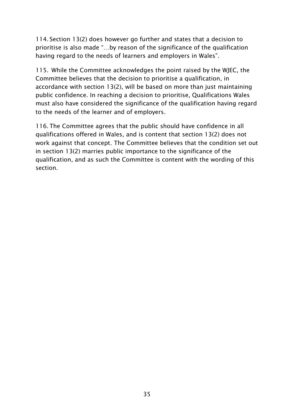114. Section 13(2) does however go further and states that a decision to prioritise is also made "…by reason of the significance of the qualification having regard to the needs of learners and employers in Wales".

115. While the Committee acknowledges the point raised by the WJEC, the Committee believes that the decision to prioritise a qualification, in accordance with section 13(2), will be based on more than just maintaining public confidence. In reaching a decision to prioritise, Qualifications Wales must also have considered the significance of the qualification having regard to the needs of the learner and of employers.

<span id="page-36-0"></span>116.The Committee agrees that the public should have confidence in all qualifications offered in Wales, and is content that section 13(2) does not work against that concept. The Committee believes that the condition set out in section 13(2) marries public importance to the significance of the qualification, and as such the Committee is content with the wording of this section.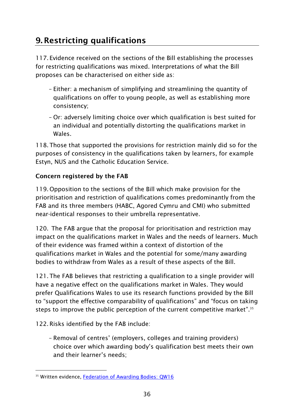### **9. Restricting qualifications**

117. Evidence received on the sections of the Bill establishing the processes for restricting qualifications was mixed. Interpretations of what the Bill proposes can be characterised on either side as:

- Either: a mechanism of simplifying and streamlining the quantity of qualifications on offer to young people, as well as establishing more consistency;
- Or: adversely limiting choice over which qualification is best suited for an individual and potentially distorting the qualifications market in Wales.

118.Those that supported the provisions for restriction mainly did so for the purposes of consistency in the qualifications taken by learners, for example Estyn, NUS and the Catholic Education Service.

#### <span id="page-37-0"></span>**Concern registered by the FAB**

119.Opposition to the sections of the Bill which make provision for the prioritisation and restriction of qualifications comes predominantly from the FAB and its three members (HABC, Agored Cymru and CMI) who submitted near-identical responses to their umbrella representative.

120. The FAB argue that the proposal for prioritisation and restriction may impact on the qualifications market in Wales and the needs of learners. Much of their evidence was framed within a context of distortion of the qualifications market in Wales and the potential for some/many awarding bodies to withdraw from Wales as a result of these aspects of the Bill.

121.The FAB believes that restricting a qualification to a single provider will have a negative effect on the qualifications market in Wales. They would prefer Qualifications Wales to use its research functions provided by the Bill to "support the effective comparability of qualifications" and "focus on taking steps to improve the public perception of the current competitive market". 35

122.Risks identified by the FAB include:

– Removal of centres' (employers, colleges and training providers) choice over which awarding body's qualification best meets their own and their learner's needs;

<sup>-</sup><sup>35</sup> Written evidence, [Federation of Awarding Bodies: QW16](http://www.senedd.assembly.wales/documents/s35672/QW%2016%20Federation%20of%20Awarding%20Bodies%20FAB.pdf)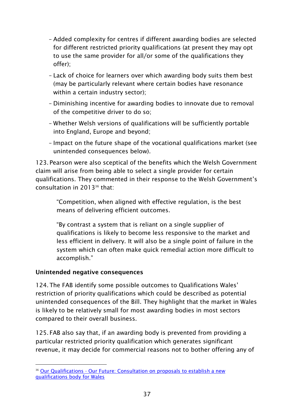- Added complexity for centres if different awarding bodies are selected for different restricted priority qualifications (at present they may opt to use the same provider for all/or some of the qualifications they offer);
- Lack of choice for learners over which awarding body suits them best (may be particularly relevant where certain bodies have resonance within a certain industry sector);
- Diminishing incentive for awarding bodies to innovate due to removal of the competitive driver to do so;
- Whether Welsh versions of qualifications will be sufficiently portable into England, Europe and beyond;
- Impact on the future shape of the vocational qualifications market (see unintended consequences below).

123. Pearson were also sceptical of the benefits which the Welsh Government claim will arise from being able to select a single provider for certain qualifications. They commented in their response to the Welsh Government's consultation in 2013<sup>36</sup> that:

"Competition, when aligned with effective regulation, is the best means of delivering efficient outcomes.

"By contrast a system that is reliant on a single supplier of qualifications is likely to become less responsive to the market and less efficient in delivery. It will also be a single point of failure in the system which can often make quick remedial action more difficult to accomplish."

#### <span id="page-38-0"></span>**Unintended negative consequences**

124.The FAB identify some possible outcomes to Qualifications Wales' restriction of priority qualifications which could be described as potential unintended consequences of the Bill. They highlight that the market in Wales is likely to be relatively small for most awarding bodies in most sectors compared to their overall business.

125. FAB also say that, if an awarding body is prevented from providing a particular restricted priority qualification which generates significant revenue, it may decide for commercial reasons not to bother offering any of

<sup>-</sup><sup>36</sup> Our Qualifications - Our Future: Consultation on proposals to establish a new [qualifications body for Wales](http://wales.gov.uk/consultations/education/our-qualifications-our-future/?status=closed&lang=en)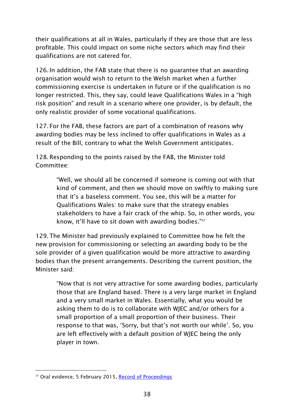their qualifications at all in Wales, particularly if they are those that are less profitable. This could impact on some niche sectors which may find their qualifications are not catered for.

126.In addition, the FAB state that there is no guarantee that an awarding organisation would wish to return to the Welsh market when a further commissioning exercise is undertaken in future or if the qualification is no longer restricted. This, they say, could leave Qualifications Wales in a "high risk position" and result in a scenario where one provider, is by default, the only realistic provider of some vocational qualifications.

127. For the FAB, these factors are part of a combination of reasons why awarding bodies may be less inclined to offer qualifications in Wales as a result of the Bill, contrary to what the Welsh Government anticipates.

128.Responding to the points raised by the FAB, the Minister told Committee:

> "Well, we should all be concerned if someone is coming out with that kind of comment, and then we should move on swiftly to making sure that it's a baseless comment. You see, this will be a matter for Qualifications Wales: to make sure that the strategy enables stakeholders to have a fair crack of the whip. So, in other words, you know, it'll have to sit down with awarding bodies." 37

129.The Minister had previously explained to Committee how he felt the new provision for commissioning or selecting an awarding body to be the sole provider of a given qualification would be more attractive to awarding bodies than the present arrangements. Describing the current position, the Minister said:

"Now that is not very attractive for some awarding bodies, particularly those that are England based. There is a very large market in England and a very small market in Wales. Essentially, what you would be asking them to do is to collaborate with WJEC and/or others for a small proportion of a small proportion of their business. Their response to that was, 'Sorry, but that's not worth our while'. So, you are left effectively with a default position of WJEC being the only player in town.

<sup>-</sup><sup>37</sup> Oral evidence, 5 February 2015, [Record of Proceedings](http://www.senedd.assembly.wales/documents/s36636/5%20February%202015.pdf)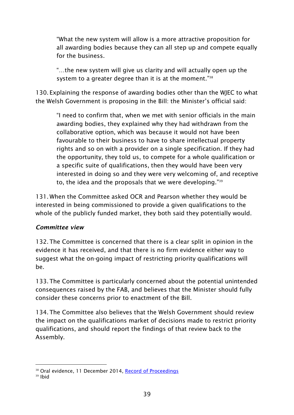"What the new system will allow is a more attractive proposition for all awarding bodies because they can all step up and compete equally for the business.

"…the new system will give us clarity and will actually open up the system to a greater degree than it is at the moment."<sup>38</sup>

130. Explaining the response of awarding bodies other than the WJEC to what the Welsh Government is proposing in the Bill: the Minister's official said:

"I need to confirm that, when we met with senior officials in the main awarding bodies, they explained why they had withdrawn from the collaborative option, which was because it would not have been favourable to their business to have to share intellectual property rights and so on with a provider on a single specification. If they had the opportunity, they told us, to compete for a whole qualification or a specific suite of qualifications, then they would have been very interested in doing so and they were very welcoming of, and receptive to, the idea and the proposals that we were developing."<sup>39</sup>

131. When the Committee asked OCR and Pearson whether they would be interested in being commissioned to provide a given qualifications to the whole of the publicly funded market, they both said they potentially would.

#### <span id="page-40-0"></span>*Committee view*

132.The Committee is concerned that there is a clear split in opinion in the evidence it has received, and that there is no firm evidence either way to suggest what the on-going impact of restricting priority qualifications will be.

133.The Committee is particularly concerned about the potential unintended consequences raised by the FAB, and believes that the Minister should fully consider these concerns prior to enactment of the Bill.

134.The Committee also believes that the Welsh Government should review the impact on the qualifications market of decisions made to restrict priority qualifications, and should report the findings of that review back to the Assembly.

-

<sup>&</sup>lt;sup>38</sup> Oral evidence, 11 December 2014, [Record of Proceedings](http://www.senedd.assembly.wales/documents/s35116/11%20December%202014.pdf)

<sup>39</sup> Ibid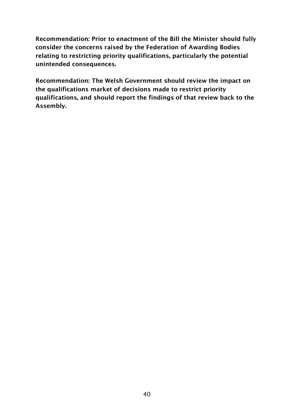**Recommendation: Prior to enactment of the Bill the Minister should fully consider the concerns raised by the Federation of Awarding Bodies relating to restricting priority qualifications, particularly the potential unintended consequences.** 

<span id="page-41-0"></span>**Recommendation: The Welsh Government should review the impact on the qualifications market of decisions made to restrict priority qualifications, and should report the findings of that review back to the Assembly.**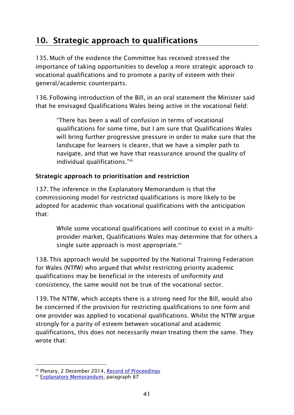### **10. Strategic approach to qualifications**

135. Much of the evidence the Committee has received stressed the importance of taking opportunities to develop a more strategic approach to vocational qualifications and to promote a parity of esteem with their general/academic counterparts.

136. Following introduction of the Bill, in an oral statement the Minister said that he envisaged Qualifications Wales being active in the vocational field:

"There has been a wall of confusion in terms of vocational qualifications for some time, but I am sure that Qualifications Wales will bring further progressive pressure in order to make sure that the landscape for learners is clearer, that we have a simpler path to navigate, and that we have that reassurance around the quality of individual qualifications." 40

#### <span id="page-42-0"></span>**Strategic approach to prioritisation and restriction**

137.The inference in the Explanatory Memorandum is that the commissioning model for restricted qualifications is more likely to be adopted for academic than vocational qualifications with the anticipation that:

While some vocational qualifications will continue to exist in a multiprovider market, Qualifications Wales may determine that for others a single suite approach is most appropriate.<sup>41</sup>

138.This approach would be supported by the National Training Federation for Wales (NTfW) who argued that whilst restricting priority academic qualifications may be beneficial in the interests of uniformity and consistency, the same would not be true of the vocational sector.

139.The NTfW, which accepts there is a strong need for the Bill, would also be concerned if the provision for restricting qualifications to one form and one provider was applied to vocational qualifications. Whilst the NTfW argue strongly for a parity of esteem between vocational and academic qualifications, this does not necessarily mean treating them the same. They wrote that:

-

<sup>40</sup> Plenary, 2 December 2014, [Record of Proceedings](http://www.assembly.wales/en/bus-home/pages/rop.aspx?meetingid=2767&assembly=4&c=Record%20of%20Proceedings&startDt=02/12/2014&endDt=03/12/2014)

<sup>41</sup> [Explanatory Memorandum,](http://www.assembly.wales/laid%20documents/pri-ld10026-em%20-%20qualifications%20wales%20bill%20-%20explanatory%20memorandum/pri-ld10026-em-e.pdf) paragraph 87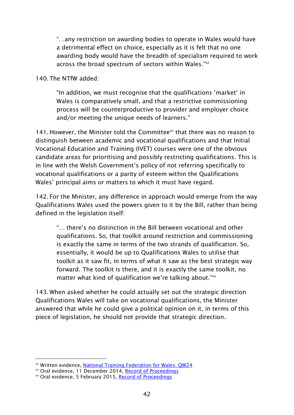"…any restriction on awarding bodies to operate in Wales would have a detrimental effect on choice, especially as it is felt that no one awarding body would have the breadth of specialism required to work across the broad spectrum of sectors within Wales." 42

140.The NTfW added:

"In addition, we must recognise that the qualifications 'market' in Wales is comparatively small, and that a restrictive commissioning process will be counterproductive to provider and employer choice and/or meeting the unique needs of learners."

141. However, the Minister told the Committee<sup>43</sup> that there was no reason to distinguish between academic and vocational qualifications and that Initial Vocational Education and Training (IVET) courses were one of the obvious candidate areas for prioritising and possibly restricting qualifications. This is in line with the Welsh Government's policy of not referring specifically to vocational qualifications or a parity of esteem within the Qualifications Wales' principal aims or matters to which it must have regard.

142. For the Minister, any difference in approach would emerge from the way Qualifications Wales used the powers given to it by the Bill, rather than being defined in the legislation itself:

"… there's no distinction in the Bill between vocational and other qualifications. So, that toolkit around restriction and commissioning is exactly the same in terms of the two strands of qualification. So, essentially, it would be up to Qualifications Wales to utilise that toolkit as it saw fit, in terms of what it saw as the best strategic way forward. The toolkit is there, and it is exactly the same toolkit, no matter what kind of qualification we're talking about."<sup>44</sup>

143. When asked whether he could actually set out the strategic direction Qualifications Wales will take on vocational qualifications, the Minister answered that while he could give a political opinion on it, in terms of this piece of legislation, he should not provide that strategic direction.

-

<sup>&</sup>lt;sup>42</sup> Written evidence, [National Training Federation for Wales: QW24](http://www.senedd.assembly.wales/documents/s35680/QW%2024%20National%20Training%20Federation%20for%20Wales.pdf)

<sup>43</sup> Oral evidence, 11 December 2014, [Record of Proceedings](http://www.senedd.assembly.wales/documents/s35116/11%20December%202014.pdf)

<sup>44</sup> Oral evidence, 5 February 2015, [Record of Proceedings](http://www.senedd.assembly.wales/documents/s36636/5%20February%202015.pdf)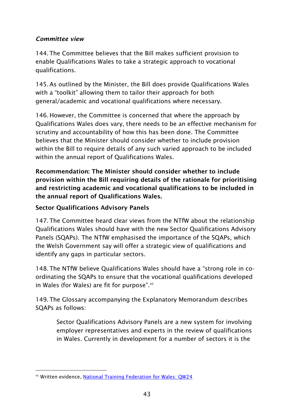#### <span id="page-44-0"></span>*Committee view*

144.The Committee believes that the Bill makes sufficient provision to enable Qualifications Wales to take a strategic approach to vocational qualifications.

145.As outlined by the Minister, the Bill does provide Qualifications Wales with a "toolkit" allowing them to tailor their approach for both general/academic and vocational qualifications where necessary.

146. However, the Committee is concerned that where the approach by Qualifications Wales does vary, there needs to be an effective mechanism for scrutiny and accountability of how this has been done. The Committee believes that the Minister should consider whether to include provision within the Bill to require details of any such varied approach to be included within the annual report of Qualifications Wales.

**Recommendation: The Minister should consider whether to include provision within the Bill requiring details of the rationale for prioritising and restricting academic and vocational qualifications to be included in the annual report of Qualifications Wales.** 

#### <span id="page-44-1"></span>**Sector Qualifications Advisory Panels**

147.The Committee heard clear views from the NTfW about the relationship Qualifications Wales should have with the new Sector Qualifications Advisory Panels (SQAPs). The NTfW emphasised the importance of the SQAPs, which the Welsh Government say will offer a strategic view of qualifications and identify any gaps in particular sectors.

148.The NTfW believe Qualifications Wales should have a "strong role in coordinating the SQAPs to ensure that the vocational qualifications developed in Wales (for Wales) are fit for purpose". 45

149.The Glossary accompanying the Explanatory Memorandum describes SQAPs as follows:

Sector Qualifications Advisory Panels are a new system for involving employer representatives and experts in the review of qualifications in Wales. Currently in development for a number of sectors it is the

<sup>-</sup>45 Written evidence, [National Training Federation for Wales: QW24](http://www.senedd.assembly.wales/documents/s35680/QW%2024%20National%20Training%20Federation%20for%20Wales.pdf)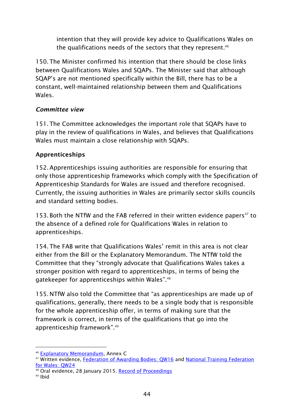intention that they will provide key advice to Qualifications Wales on the qualifications needs of the sectors that they represent.<sup>46</sup>

150.The Minister confirmed his intention that there should be close links between Qualifications Wales and SQAPs. The Minister said that although SQAP's are not mentioned specifically within the Bill, there has to be a constant, well-maintained relationship between them and Qualifications Wales.

#### <span id="page-45-0"></span>*Committee view*

151.The Committee acknowledges the important role that SQAPs have to play in the review of qualifications in Wales, and believes that Qualifications Wales must maintain a close relationship with SQAPs.

#### <span id="page-45-1"></span>**Apprenticeships**

152.Apprenticeships issuing authorities are responsible for ensuring that only those apprenticeship frameworks which comply with the Specification of Apprenticeship Standards for Wales are issued and therefore recognised. Currently, the issuing authorities in Wales are primarily sector skills councils and standard setting bodies.

153. Both the NTfW and the FAB referred in their written evidence papers<sup>47</sup> to the absence of a defined role for Qualifications Wales in relation to apprenticeships.

154.The FAB write that Qualifications Wales' remit in this area is not clear either from the Bill or the Explanatory Memorandum. The NTfW told the Committee that they "strongly advocate that Qualifications Wales takes a stronger position with regard to apprenticeships, in terms of being the gatekeeper for apprenticeships within Wales". 48

155. NTfW also told the Committee that "as apprenticeships are made up of qualifications, generally, there needs to be a single body that is responsible for the whole apprenticeship offer, in terms of making sure that the framework is correct, in terms of the qualifications that go into the apprenticeship framework". 49

<sup>-</sup><sup>46</sup> [Explanatory Memorandum,](http://www.assembly.wales/laid%20documents/pri-ld10026-em%20-%20qualifications%20wales%20bill%20-%20explanatory%20memorandum/pri-ld10026-em-e.pdf) Annex C

<sup>47</sup> Written evidence, [Federation of Awarding Bodies: QW16](http://www.senedd.assembly.wales/documents/s35672/QW%2016%20Federation%20of%20Awarding%20Bodies%20FAB.pdf) and [National Training Federation](http://www.senedd.assembly.wales/documents/s35680/QW%2024%20National%20Training%20Federation%20for%20Wales.pdf)  [for Wales: QW24](http://www.senedd.assembly.wales/documents/s35680/QW%2024%20National%20Training%20Federation%20for%20Wales.pdf)

<sup>48</sup> Oral evidence, 28 January 2015. [Record of Proceedings](http://www.senedd.assembly.wales/documents/s36106/28%20January%202015.pdf)

<sup>49</sup> Ibid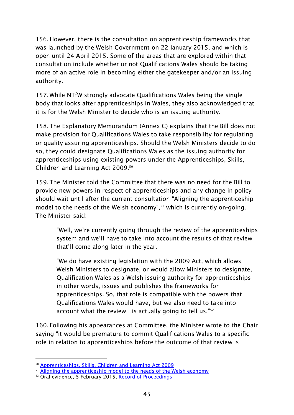156. However, there is the consultation on apprenticeship frameworks that was launched by the Welsh Government on 22 January 2015, and which is open until 24 April 2015. Some of the areas that are explored within that consultation include whether or not Qualifications Wales should be taking more of an active role in becoming either the gatekeeper and/or an issuing authority.

157. While NTfW strongly advocate Qualifications Wales being the single body that looks after apprenticeships in Wales, they also acknowledged that it is for the Welsh Minister to decide who is an issuing authority.

158.The Explanatory Memorandum (Annex C) explains that the Bill does not make provision for Qualifications Wales to take responsibility for regulating or quality assuring apprenticeships. Should the Welsh Ministers decide to do so, they could designate Qualifications Wales as the issuing authority for apprenticeships using existing powers under the Apprenticeships, Skills, Children and Learning Act 2009. 50

159.The Minister told the Committee that there was no need for the Bill to provide new powers in respect of apprenticeships and any change in policy should wait until after the current consultation "Aligning the apprenticeship model to the needs of the Welsh economy", <sup>51</sup> which is currently on-going. The Minister said:

"Well, we're currently going through the review of the apprenticeships system and we'll have to take into account the results of that review that'll come along later in the year.

"We do have existing legislation with the 2009 Act, which allows Welsh Ministers to designate, or would allow Ministers to designate, Qualification Wales as a Welsh issuing authority for apprenticeships in other words, issues and publishes the frameworks for apprenticeships. So, that role is compatible with the powers that Qualifications Wales would have, but we also need to take into account what the review...is actually going to tell us."<sup>52</sup>

160. Following his appearances at Committee, the Minister wrote to the Chair saying "it would be premature to commit Qualifications Wales to a specific role in relation to apprenticeships before the outcome of that review is

<sup>-</sup><sup>50</sup> [Apprenticeships, Skills, Children and Learning Act 2009](http://www.legislation.gov.uk/ukpga/2009/22/contents)

<sup>&</sup>lt;sup>51</sup> [Aligning the apprenticeship model to the needs of the Welsh economy](http://wales.gov.uk/consultations/education/aligning-the-apprenticeship-model/?status=open&lang=en)

<sup>&</sup>lt;sup>52</sup> Oral evidence, 5 February 2015, [Record of Proceedings](http://www.senedd.assembly.wales/documents/s36636/5%20February%202015.pdf)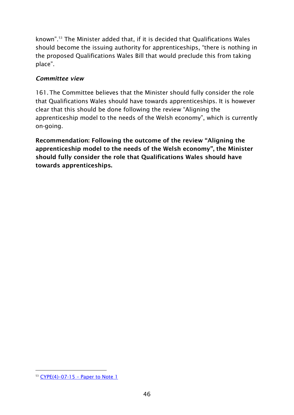known". <sup>53</sup> The Minister added that, if it is decided that Qualifications Wales should become the issuing authority for apprenticeships, "there is nothing in the proposed Qualifications Wales Bill that would preclude this from taking place".

#### <span id="page-47-0"></span>*Committee view*

161.The Committee believes that the Minister should fully consider the role that Qualifications Wales should have towards apprenticeships. It is however clear that this should be done following the review "Aligning the apprenticeship model to the needs of the Welsh economy", which is currently on-going.

<span id="page-47-1"></span>**Recommendation: Following the outcome of the review "Aligning the apprenticeship model to the needs of the Welsh economy", the Minister should fully consider the role that Qualifications Wales should have towards apprenticeships.** 

<sup>-</sup> $53$  CYPE(4)-07-15 - [Paper to Note 1](http://www.senedd.assembly.wales/documents/s37156/CYPE4-07-15%20-%20Paper%20to%20note%201.pdf)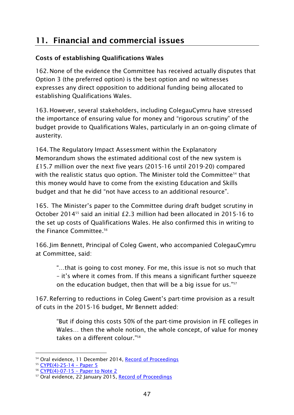### **11. Financial and commercial issues**

#### <span id="page-48-0"></span>**Costs of establishing Qualifications Wales**

162. None of the evidence the Committee has received actually disputes that Option 3 (the preferred option) is the best option and no witnesses expresses any direct opposition to additional funding being allocated to establishing Qualifications Wales.

163. However, several stakeholders, including ColegauCymru have stressed the importance of ensuring value for money and "rigorous scrutiny" of the budget provide to Qualifications Wales, particularly in an on-going climate of austerity.

164.The Regulatory Impact Assessment within the Explanatory Memorandum shows the estimated additional cost of the new system is £15.7 million over the next five years (2015-16 until 2019-20) compared with the realistic status quo option. The Minister told the Committee<sup>54</sup> that this money would have to come from the existing Education and Skills budget and that he did "not have access to an additional resource".

165. The Minister's paper to the Committee during draft budget scrutiny in October 201455 said an initial £2.3 million had been allocated in 2015-16 to the set up costs of Qualifications Wales. He also confirmed this in writing to the Finance Committee.<sup>56</sup>

166.Jim Bennett, Principal of Coleg Gwent, who accompanied ColegauCymru at Committee, said:

"…that is going to cost money. For me, this issue is not so much that – it's where it comes from. If this means a significant further squeeze on the education budget, then that will be a big issue for us."<sup>57</sup>

167.Referring to reductions in Coleg Gwent's part-time provision as a result of cuts in the 2015-16 budget, Mr Bennett added:

"But if doing this costs 50% of the part-time provision in FE colleges in Wales… then the whole notion, the whole concept, of value for money takes on a different colour." 58

<sup>-</sup><sup>54</sup> Oral evidence, 11 December 2014, [Record of Proceedings](http://www.senedd.assembly.wales/documents/s35116/11%20December%202014.pdf)

<sup>55</sup> [CYPE\(4\)-25-14](http://www.senedd.assembly.wales/documents/s32438/CYPE4-25-14%20-%20Paper%205.pdf) - Paper 5

<sup>56</sup> CYPE(4)-07-15 – [Paper to Note 2](http://www.senedd.assembly.wales/documents/s37157/CYPE4-07-15%20-%20Paper%20to%20note%202.pdf)

<sup>&</sup>lt;sup>57</sup> Oral evidence, 22 January 2015, [Record of Proceedings](http://www.senedd.assembly.wales/documents/s35968/22%20January%202015.pdf)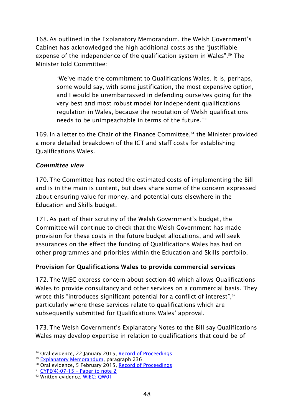168.As outlined in the Explanatory Memorandum, the Welsh Government's Cabinet has acknowledged the high additional costs as the "justifiable expense of the independence of the qualification system in Wales". <sup>59</sup> The Minister told Committee:

"We've made the commitment to Qualifications Wales. It is, perhaps, some would say, with some justification, the most expensive option, and I would be unembarrassed in defending ourselves going for the very best and most robust model for independent qualifications regulation in Wales, because the reputation of Welsh qualifications needs to be unimpeachable in terms of the future." 60

169. In a letter to the Chair of the Finance Committee,<sup>61</sup> the Minister provided a more detailed breakdown of the ICT and staff costs for establishing Qualifications Wales.

#### <span id="page-49-0"></span>*Committee view*

170.The Committee has noted the estimated costs of implementing the Bill and is in the main is content, but does share some of the concern expressed about ensuring value for money, and potential cuts elsewhere in the Education and Skills budget.

171.As part of their scrutiny of the Welsh Government's budget, the Committee will continue to check that the Welsh Government has made provision for these costs in the future budget allocations, and will seek assurances on the effect the funding of Qualifications Wales has had on other programmes and priorities within the Education and Skills portfolio.

#### <span id="page-49-1"></span>**Provision for Qualifications Wales to provide commercial services**

172.The WJEC express concern about section 40 which allows Qualifications Wales to provide consultancy and other services on a commercial basis. They wrote this "introduces significant potential for a conflict of interest", $\rm ^{62}$ particularly where these services relate to qualifications which are subsequently submitted for Qualifications Wales' approval.

173.The Welsh Government's Explanatory Notes to the Bill say Qualifications Wales may develop expertise in relation to qualifications that could be of

<sup>-</sup><sup>58</sup> Oral evidence, 22 January 2015, [Record of Proceedings](http://www.senedd.assembly.wales/documents/s35968/22%20January%202015.pdf)

<sup>59</sup> [Explanatory Memorandum,](http://www.assembly.wales/laid%20documents/pri-ld10026-em%20-%20qualifications%20wales%20bill%20-%20explanatory%20memorandum/pri-ld10026-em-e.pdf) paragraph 236

<sup>&</sup>lt;sup>60</sup> Oral evidence, 5 February 2015, [Record of Proceedings](http://www.senedd.assembly.wales/documents/s36636/5%20February%202015.pdf)

 $61$  CYPE(4)-07-15 – [Paper to note 2](http://www.senedd.assembly.wales/documents/s37157/CYPE4-07-15%20-%20Paper%20to%20note%202.pdf)

<sup>&</sup>lt;sup>62</sup> Written evidence, WIEC: OW01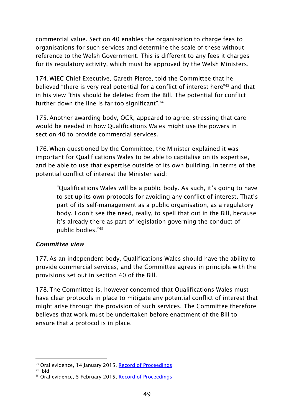commercial value. Section 40 enables the organisation to charge fees to organisations for such services and determine the scale of these without reference to the Welsh Government. This is different to any fees it charges for its regulatory activity, which must be approved by the Welsh Ministers.

174. WJEC Chief Executive, Gareth Pierce, told the Committee that he believed "there is very real potential for a conflict of interest here" <sup>63</sup> and that in his view "this should be deleted from the Bill. The potential for conflict further down the line is far too significant".<sup>64</sup>

175.Another awarding body, OCR, appeared to agree, stressing that care would be needed in how Qualifications Wales might use the powers in section 40 to provide commercial services.

176. When questioned by the Committee, the Minister explained it was important for Qualifications Wales to be able to capitalise on its expertise, and be able to use that expertise outside of its own building. In terms of the potential conflict of interest the Minister said:

"Qualifications Wales will be a public body. As such, it's going to have to set up its own protocols for avoiding any conflict of interest. That's part of its self-management as a public organisation, as a regulatory body. I don't see the need, really, to spell that out in the Bill, because it's already there as part of legislation governing the conduct of public bodies." 65

#### <span id="page-50-0"></span>*Committee view*

177.As an independent body, Qualifications Wales should have the ability to provide commercial services, and the Committee agrees in principle with the provisions set out in section 40 of the Bill.

178.The Committee is, however concerned that Qualifications Wales must have clear protocols in place to mitigate any potential conflict of interest that might arise through the provision of such services. The Committee therefore believes that work must be undertaken before enactment of the Bill to ensure that a protocol is in place.

<sup>-</sup><sup>63</sup> Oral evidence, 14 January 2015, [Record of Proceedings](http://www.senedd.assembly.wales/documents/s35697/14%20January%202015.pdf)

 $64$  Ibid

<sup>&</sup>lt;sup>65</sup> Oral evidence, 5 February 2015, [Record of Proceedings](http://www.senedd.assembly.wales/documents/s36636/5%20February%202015.pdf)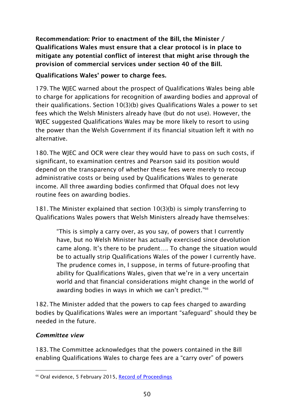**Recommendation: Prior to enactment of the Bill, the Minister / Qualifications Wales must ensure that a clear protocol is in place to mitigate any potential conflict of interest that might arise through the provision of commercial services under section 40 of the Bill.** 

#### <span id="page-51-0"></span>**Qualifications Wales' power to charge fees.**

179.The WJEC warned about the prospect of Qualifications Wales being able to charge for applications for recognition of awarding bodies and approval of their qualifications. Section 10(3)(b) gives Qualifications Wales a power to set fees which the Welsh Ministers already have (but do not use). However, the WJEC suggested Qualifications Wales may be more likely to resort to using the power than the Welsh Government if its financial situation left it with no alternative.

180.The WJEC and OCR were clear they would have to pass on such costs, if significant, to examination centres and Pearson said its position would depend on the transparency of whether these fees were merely to recoup administrative costs or being used by Qualifications Wales to generate income. All three awarding bodies confirmed that Ofqual does not levy routine fees on awarding bodies.

181.The Minister explained that section 10(3)(b) is simply transferring to Qualifications Wales powers that Welsh Ministers already have themselves:

"This is simply a carry over, as you say, of powers that I currently have, but no Welsh Minister has actually exercised since devolution came along. It's there to be prudent…. To change the situation would be to actually strip Qualifications Wales of the power I currently have. The prudence comes in, I suppose, in terms of future-proofing that ability for Qualifications Wales, given that we're in a very uncertain world and that financial considerations might change in the world of awarding bodies in ways in which we can't predict."<sup>66</sup>

182.The Minister added that the powers to cap fees charged to awarding bodies by Qualifications Wales were an important "safeguard" should they be needed in the future.

#### <span id="page-51-1"></span>*Committee view*

183.The Committee acknowledges that the powers contained in the Bill enabling Qualifications Wales to charge fees are a "carry over" of powers

<sup>-</sup><sup>66</sup> Oral evidence, 5 February 2015, [Record of Proceedings](http://www.senedd.assembly.wales/documents/s36636/5%20February%202015.pdf)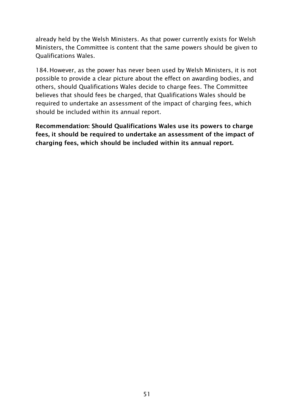already held by the Welsh Ministers. As that power currently exists for Welsh Ministers, the Committee is content that the same powers should be given to Qualifications Wales.

184. However, as the power has never been used by Welsh Ministers, it is not possible to provide a clear picture about the effect on awarding bodies, and others, should Qualifications Wales decide to charge fees. The Committee believes that should fees be charged, that Qualifications Wales should be required to undertake an assessment of the impact of charging fees, which should be included within its annual report.

<span id="page-52-0"></span>**Recommendation: Should Qualifications Wales use its powers to charge fees, it should be required to undertake an assessment of the impact of charging fees, which should be included within its annual report.**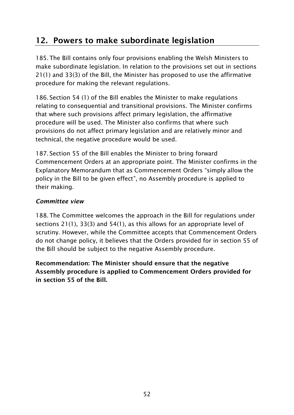### **12. Powers to make subordinate legislation**

185.The Bill contains only four provisions enabling the Welsh Ministers to make subordinate legislation. In relation to the provisions set out in sections 21(1) and 33(3) of the Bill, the Minister has proposed to use the affirmative procedure for making the relevant regulations.

186. Section 54 (1) of the Bill enables the Minister to make regulations relating to consequential and transitional provisions. The Minister confirms that where such provisions affect primary legislation, the affirmative procedure will be used. The Minister also confirms that where such provisions do not affect primary legislation and are relatively minor and technical, the negative procedure would be used.

187. Section 55 of the Bill enables the Minister to bring forward Commencement Orders at an appropriate point. The Minister confirms in the Explanatory Memorandum that as Commencement Orders "simply allow the policy in the Bill to be given effect", no Assembly procedure is applied to their making.

#### <span id="page-53-0"></span>*Committee view*

188.The Committee welcomes the approach in the Bill for regulations under sections 21(1), 33(3) and 54(1), as this allows for an appropriate level of scrutiny. However, while the Committee accepts that Commencement Orders do not change policy, it believes that the Orders provided for in section 55 of the Bill should be subject to the negative Assembly procedure.

**Recommendation: The Minister should ensure that the negative Assembly procedure is applied to Commencement Orders provided for in section 55 of the Bill.**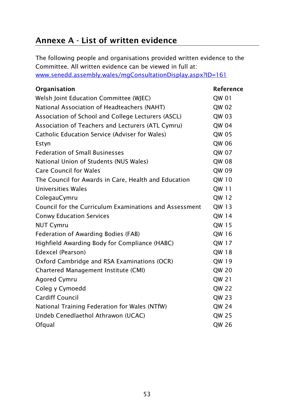### <span id="page-54-0"></span>**Annexe A - List of written evidence**

The following people and organisations provided written evidence to the Committee. All written evidence can be viewed in full at: [www.senedd.assembly.wales/mgConsultationDisplay.aspx?ID=161](http://www.senedd.assembly.wales/mgConsultationDisplay.aspx?ID=161)

| Organisation                                           | Reference    |
|--------------------------------------------------------|--------------|
| Welsh Joint Education Committee (WJEC)                 | QW 01        |
| National Association of Headteachers (NAHT)            | QW 02        |
| Association of School and College Lecturers (ASCL)     | QW 03        |
| Association of Teachers and Lecturers (ATL Cymru)      | QW 04        |
| <b>Catholic Education Service (Adviser for Wales)</b>  | QW 05        |
| Estyn                                                  | QW 06        |
| <b>Federation of Small Businesses</b>                  | QW 07        |
| National Union of Students (NUS Wales)                 | QW 08        |
| <b>Care Council for Wales</b>                          | QW 09        |
| The Council for Awards in Care, Health and Education   | QW 10        |
| <b>Universities Wales</b>                              | QW 11        |
| ColegauCymru                                           | QW 12        |
| Council for the Curriculum Examinations and Assessment | QW 13        |
| <b>Conwy Education Services</b>                        | QW 14        |
| <b>NUT Cymru</b>                                       | QW 15        |
| Federation of Awarding Bodies (FAB)                    | QW 16        |
| Highfield Awarding Body for Compliance (HABC)          | QW 17        |
| Edexcel (Pearson)                                      | QW 18        |
| Oxford Cambridge and RSA Examinations (OCR)            | QW 19        |
| Chartered Management Institute (CMI)                   | QW 20        |
| <b>Agored Cymru</b>                                    | QW 21        |
| Coleg y Cymoedd                                        | <b>QW 22</b> |
| <b>Cardiff Council</b>                                 | QW 23        |
| National Training Federation for Wales (NTfW)          | QW 24        |
| Undeb Cenedlaethol Athrawon (UCAC)                     | QW 25        |
| Ofqual                                                 | QW 26        |